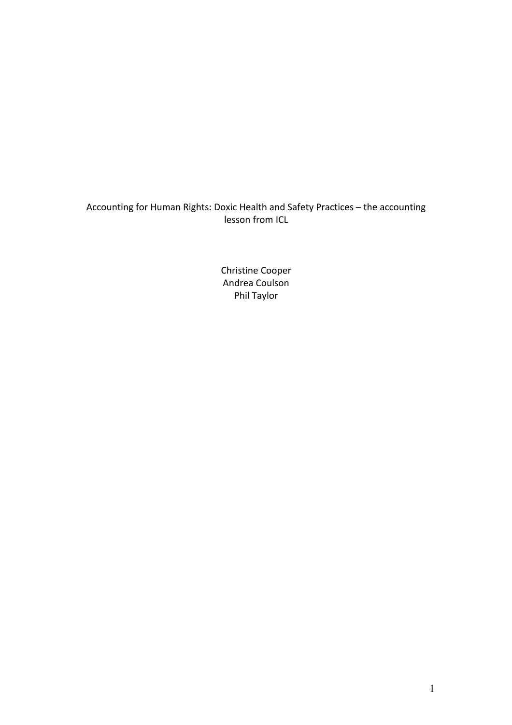# Accounting for Human Rights: Doxic Health and Safety Practices - the accounting lesson from ICL

Christine Cooper Andrea Coulson Phil Taylor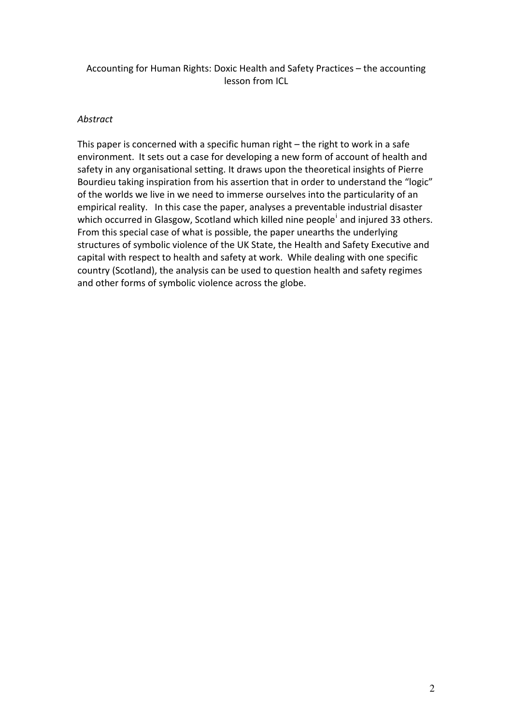# Accounting for Human Rights: Doxic Health and Safety Practices - the accounting lesson from ICL

# *Abstract*

This paper is concerned with a specific human right  $-$  the right to work in a safe environment. It sets out a case for developing a new form of account of health and safety in any organisational setting. It draws upon the theoretical insights of Pierre Bourdieu taking inspiration from his assertion that in order to understand the "logic" of the worlds we live in we need to immerse ourselves into the particularity of an empirical reality. In this case the paper, analyses a preventable industrial disaster wh[i](#page-32-0)ch occurred in Glasgow, Scotland which killed nine people<sup>i</sup> and injured 33 others. From this special case of what is possible, the paper unearths the underlying structures of symbolic violence of the UK State, the Health and Safety Executive and capital with respect to health and safety at work. While dealing with one specific country (Scotland), the analysis can be used to question health and safety regimes and other forms of symbolic violence across the globe.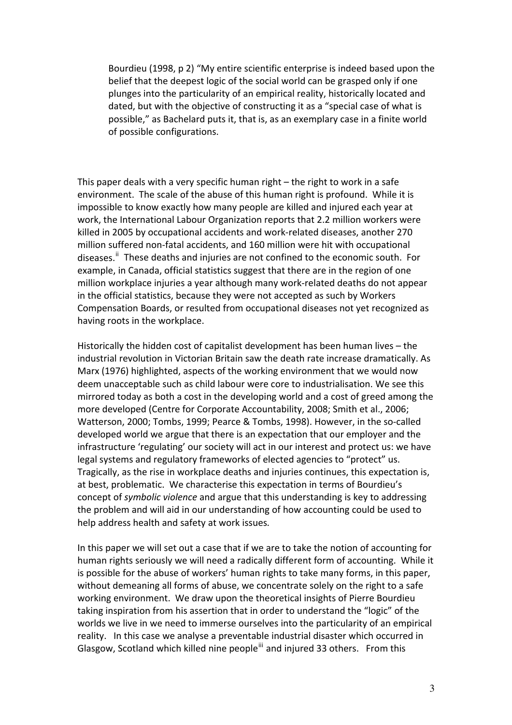Bourdieu (1998, p 2) "My entire scientific enterprise is indeed based upon the belief that the deepest logic of the social world can be grasped only if one plunges into the particularity of an empirical reality, historically located and dated, but with the objective of constructing it as a "special case of what is possible," as Bachelard puts it, that is, as an exemplary case in a finite world of possible configurations.

This paper deals with a very specific human right  $-$  the right to work in a safe environment. The scale of the abuse of this human right is profound. While it is impossible to know exactly how many people are killed and injured each year at work, the International Labour Organization reports that 2.2 million workers were killed in 2005 by occupational accidents and work-related diseases, another 270 million suffered non-fatal accidents, and 160 million were hit with occupational diseases.<sup>"</sup> These deaths and injuries are not confined to the economic south. For example, in Canada, official statistics suggest that there are in the region of one million workplace injuries a year although many work-related deaths do not appear in the official statistics, because they were not accepted as such by Workers Compensation Boards, or resulted from occupational diseases not yet recognized as having roots in the workplace.

Historically the hidden cost of capitalist development has been human lives  $-$  the industrial revolution in Victorian Britain saw the death rate increase dramatically. As Marx (1976) highlighted, aspects of the working environment that we would now deem unacceptable such as child labour were core to industrialisation. We see this mirrored today as both a cost in the developing world and a cost of greed among the more developed (Centre for Corporate Accountability, 2008; Smith et al., 2006; Watterson, 2000; Tombs, 1999; Pearce & Tombs, 1998). However, in the so-called developed world we argue that there is an expectation that our employer and the infrastructure 'regulating' our society will act in our interest and protect us: we have legal systems and regulatory frameworks of elected agencies to "protect" us. Tragically, as the rise in workplace deaths and injuries continues, this expectation is, at best, problematic. We characterise this expectation in terms of Bourdieu's concept of *symbolic violence* and argue that this understanding is key to addressing the problem and will aid in our understanding of how accounting could be used to help address health and safety at work issues*.*

In this paper we will set out a case that if we are to take the notion of accounting for human rights seriously we will need a radically different form of accounting. While it is possible for the abuse of workers' human rights to take many forms, in this paper, without demeaning all forms of abuse, we concentrate solely on the right to a safe working environment. We draw upon the theoretical insights of Pierre Bourdieu taking inspiration from his assertion that in order to understand the "logic" of the worlds we live in we need to immerse ourselves into the particularity of an empirical reality. In this case we analyse a preventable industrial disaster which occurred in Glasgow, Scotland which killed nine people<sup>[iii](#page-32-1)</sup> and injured 33 others. From this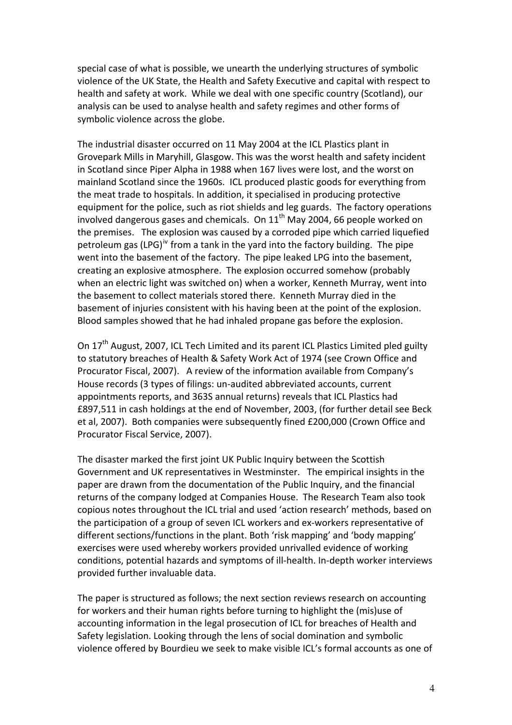special case of what is possible, we unearth the underlying structures of symbolic violence of the UK State, the Health and Safety Executive and capital with respect to health and safety at work. While we deal with one specific country (Scotland), our analysis can be used to analyse health and safety regimes and other forms of symbolic violence across the globe.

The industrial disaster occurred on 11 May 2004 at the ICL Plastics plant in Grovepark Mills in Maryhill, Glasgow. This was the worst health and safety incident in Scotland since Piper Alpha in 1988 when 167 lives were lost, and the worst on mainland Scotland since the 1960s. ICL produced plastic goods for everything from the meat trade to hospitals. In addition, it specialised in producing protective equipment for the police, such as riot shields and leg guards. The factory operations involved dangerous gases and chemicals. On  $11<sup>th</sup>$  May 2004, 66 people worked on the premises. The explosion was caused by a corroded pipe which carried liquefied petroleum gas (LPG)<sup>[iv](#page-32-1)</sup> from a tank in the yard into the factory building. The pipe went into the basement of the factory. The pipe leaked LPG into the basement, creating an explosive atmosphere. The explosion occurred somehow (probably when an electric light was switched on) when a worker, Kenneth Murray, went into the basement to collect materials stored there. Kenneth Murray died in the basement of injuries consistent with his having been at the point of the explosion. Blood samples showed that he had inhaled propane gas before the explosion.

On 17<sup>th</sup> August, 2007, ICL Tech Limited and its parent ICL Plastics Limited pled guilty to statutory breaches of Health & Safety Work Act of 1974 (see Crown Office and Procurator Fiscal, 2007). A review of the information available from Companyís House records (3 types of filings: un-audited abbreviated accounts, current appointments reports, and 363S annual returns) reveals that ICL Plastics had £897,511 in cash holdings at the end of November, 2003, (for further detail see Beck et al, 2007). Both companies were subsequently fined £200,000 (Crown Office and Procurator Fiscal Service, 2007).

The disaster marked the first joint UK Public Inquiry between the Scottish Government and UK representatives in Westminster. The empirical insights in the paper are drawn from the documentation of the Public Inquiry, and the financial returns of the company lodged at Companies House. The Research Team also took copious notes throughout the ICL trial and used 'action research' methods, based on the participation of a group of seven ICL workers and ex-workers representative of different sections/functions in the plant. Both 'risk mapping' and 'body mapping' exercises were used whereby workers provided unrivalled evidence of working conditions, potential hazards and symptoms of ill-health. In-depth worker interviews provided further invaluable data.

The paper is structured as follows; the next section reviews research on accounting for workers and their human rights before turning to highlight the (mis)use of accounting information in the legal prosecution of ICL for breaches of Health and Safety legislation. Looking through the lens of social domination and symbolic violence offered by Bourdieu we seek to make visible ICL's formal accounts as one of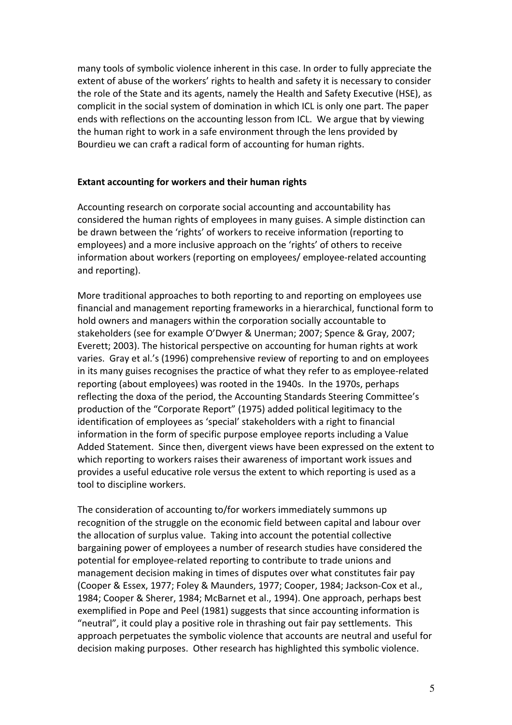many tools of symbolic violence inherent in this case. In order to fully appreciate the extent of abuse of the workers' rights to health and safety it is necessary to consider the role of the State and its agents, namely the Health and Safety Executive (HSE), as complicit in the social system of domination in which ICL is only one part. The paper ends with reflections on the accounting lesson from ICL. We argue that by viewing the human right to work in a safe environment through the lens provided by Bourdieu we can craft a radical form of accounting for human rights.

# **Extant accounting for workers and their human rights**

Accounting research on corporate social accounting and accountability has considered the human rights of employees in many guises. A simple distinction can be drawn between the 'rights' of workers to receive information (reporting to employees) and a more inclusive approach on the 'rights' of others to receive information about workers (reporting on employees/ employee-related accounting and reporting).

More traditional approaches to both reporting to and reporting on employees use financial and management reporting frameworks in a hierarchical, functional form to hold owners and managers within the corporation socially accountable to stakeholders (see for example OíDwyer & Unerman; 2007; Spence & Gray, 2007; Everett; 2003). The historical perspective on accounting for human rights at work varies. Gray et al.'s (1996) comprehensive review of reporting to and on employees in its many guises recognises the practice of what they refer to as employee-related reporting (about employees) was rooted in the 1940s. In the 1970s, perhaps reflecting the doxa of the period, the Accounting Standards Steering Committeeís production of the "Corporate Report" (1975) added political legitimacy to the identification of employees as 'special' stakeholders with a right to financial information in the form of specific purpose employee reports including a Value Added Statement. Since then, divergent views have been expressed on the extent to which reporting to workers raises their awareness of important work issues and provides a useful educative role versus the extent to which reporting is used as a tool to discipline workers.

The consideration of accounting to/for workers immediately summons up recognition of the struggle on the economic field between capital and labour over the allocation of surplus value. Taking into account the potential collective bargaining power of employees a number of research studies have considered the potential for employee-related reporting to contribute to trade unions and management decision making in times of disputes over what constitutes fair pay (Cooper & Essex, 1977; Foley & Maunders, 1977; Cooper, 1984; Jackson-Cox et al., 1984; Cooper & Sherer, 1984; McBarnet et al., 1994). One approach, perhaps best exemplified in Pope and Peel (1981) suggests that since accounting information is "neutral", it could play a positive role in thrashing out fair pay settlements. This approach perpetuates the symbolic violence that accounts are neutral and useful for decision making purposes. Other research has highlighted this symbolic violence.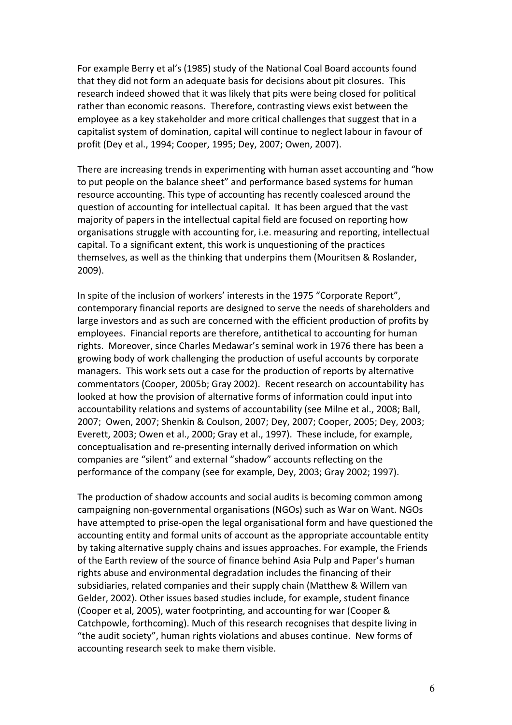For example Berry et alís (1985) study of the National Coal Board accounts found that they did not form an adequate basis for decisions about pit closures. This research indeed showed that it was likely that pits were being closed for political rather than economic reasons. Therefore, contrasting views exist between the employee as a key stakeholder and more critical challenges that suggest that in a capitalist system of domination, capital will continue to neglect labour in favour of profit (Dey et al., 1994; Cooper, 1995; Dey, 2007; Owen, 2007).

There are increasing trends in experimenting with human asset accounting and "how to put people on the balance sheet" and performance based systems for human resource accounting. This type of accounting has recently coalesced around the question of accounting for intellectual capital. It has been argued that the vast majority of papers in the intellectual capital field are focused on reporting how organisations struggle with accounting for, i.e. measuring and reporting, intellectual capital. To a significant extent, this work is unquestioning of the practices themselves, as well as the thinking that underpins them (Mouritsen & Roslander, 2009).

In spite of the inclusion of workers' interests in the 1975 "Corporate Report", contemporary financial reports are designed to serve the needs of shareholders and large investors and as such are concerned with the efficient production of profits by employees. Financial reports are therefore, antithetical to accounting for human rights. Moreover, since Charles Medawar's seminal work in 1976 there has been a growing body of work challenging the production of useful accounts by corporate managers. This work sets out a case for the production of reports by alternative commentators (Cooper, 2005b; Gray 2002). Recent research on accountability has looked at how the provision of alternative forms of information could input into accountability relations and systems of accountability (see Milne et al., 2008; Ball, 2007; Owen, 2007; Shenkin & Coulson, 2007; Dey, 2007; Cooper, 2005; Dey, 2003; Everett, 2003; Owen et al., 2000; Gray et al., 1997). These include, for example, conceptualisation and re-presenting internally derived information on which companies are "silent" and external "shadow" accounts reflecting on the performance of the company (see for example, Dey, 2003; Gray 2002; 1997).

The production of shadow accounts and social audits is becoming common among campaigning non-governmental organisations (NGOs) such as War on Want. NGOs have attempted to prise-open the legal organisational form and have questioned the accounting entity and formal units of account as the appropriate accountable entity by taking alternative supply chains and issues approaches. For example, the Friends of the Earth review of the source of finance behind Asia Pulp and Paper's human rights abuse and environmental degradation includes the financing of their subsidiaries, related companies and their supply chain (Matthew & Willem van Gelder, 2002). Other issues based studies include, for example, student finance (Cooper et al, 2005), water footprinting, and accounting for war (Cooper & Catchpowle, forthcoming). Much of this research recognises that despite living in "the audit society", human rights violations and abuses continue. New forms of accounting research seek to make them visible.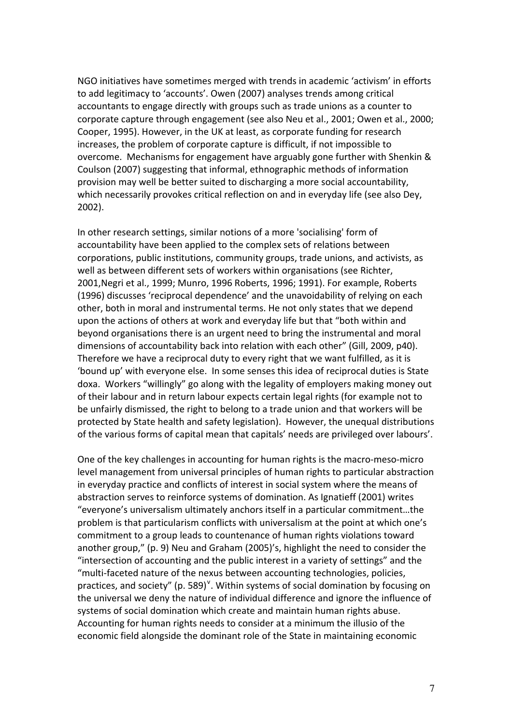NGO initiatives have sometimes merged with trends in academic 'activism' in efforts to add legitimacy to 'accounts'. Owen (2007) analyses trends among critical accountants to engage directly with groups such as trade unions as a counter to corporate capture through engagement (see also Neu et al., 2001; Owen et al., 2000; Cooper, 1995). However, in the UK at least, as corporate funding for research increases, the problem of corporate capture is difficult, if not impossible to overcome. Mechanisms for engagement have arguably gone further with Shenkin & Coulson (2007) suggesting that informal, ethnographic methods of information provision may well be better suited to discharging a more social accountability, which necessarily provokes critical reflection on and in everyday life (see also Dey, 2002).

In other research settings, similar notions of a more 'socialising' form of accountability have been applied to the complex sets of relations between corporations, public institutions, community groups, trade unions, and activists, as well as between different sets of workers within organisations (see Richter, 2001,Negri et al., 1999; Munro, 1996 Roberts, 1996; 1991). For example, Roberts (1996) discusses 'reciprocal dependence' and the unavoidability of relying on each other, both in moral and instrumental terms. He not only states that we depend upon the actions of others at work and everyday life but that "both within and beyond organisations there is an urgent need to bring the instrumental and moral dimensions of accountability back into relation with each other" (Gill, 2009, p40). Therefore we have a reciprocal duty to every right that we want fulfilled, as it is 'bound up' with everyone else. In some senses this idea of reciprocal duties is State doxa. Workers "willingly" go along with the legality of employers making money out of their labour and in return labour expects certain legal rights (for example not to be unfairly dismissed, the right to belong to a trade union and that workers will be protected by State health and safety legislation). However, the unequal distributions of the various forms of capital mean that capitals' needs are privileged over labours'.

One of the key challenges in accounting for human rights is the macro-meso-micro level management from universal principles of human rights to particular abstraction in everyday practice and conflicts of interest in social system where the means of abstraction serves to reinforce systems of domination. As Ignatieff (2001) writes "everyone's universalism ultimately anchors itself in a particular commitment...the problem is that particularism conflicts with universalism at the point at which one's commitment to a group leads to countenance of human rights violations toward another group," (p. 9) Neu and Graham (2005)'s, highlight the need to consider the "intersection of accounting and the public interest in a variety of settings" and the "multi-faceted nature of the nexus between accounting technologies, policies, practices, and society" (p. 589)<sup>[v](#page-32-1)</sup>. Within systems of social domination by focusing on the universal we deny the nature of individual difference and ignore the influence of systems of social domination which create and maintain human rights abuse. Accounting for human rights needs to consider at a minimum the illusio of the economic field alongside the dominant role of the State in maintaining economic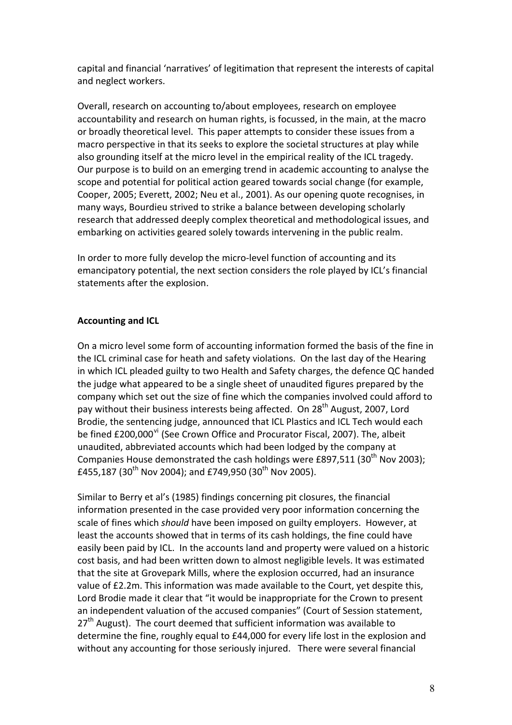capital and financial 'narratives' of legitimation that represent the interests of capital and neglect workers.

Overall, research on accounting to/about employees, research on employee accountability and research on human rights, is focussed, in the main, at the macro or broadly theoretical level. This paper attempts to consider these issues from a macro perspective in that its seeks to explore the societal structures at play while also grounding itself at the micro level in the empirical reality of the ICL tragedy. Our purpose is to build on an emerging trend in academic accounting to analyse the scope and potential for political action geared towards social change (for example, Cooper, 2005; Everett, 2002; Neu et al., 2001). As our opening quote recognises, in many ways, Bourdieu strived to strike a balance between developing scholarly research that addressed deeply complex theoretical and methodological issues, and embarking on activities geared solely towards intervening in the public realm.

In order to more fully develop the micro-level function of accounting and its emancipatory potential, the next section considers the role played by ICL's financial statements after the explosion.

# **Accounting and ICL**

On a micro level some form of accounting information formed the basis of the fine in the ICL criminal case for heath and safety violations. On the last day of the Hearing in which ICL pleaded guilty to two Health and Safety charges, the defence QC handed the judge what appeared to be a single sheet of unaudited figures prepared by the company which set out the size of fine which the companies involved could afford to pay without their business interests being affected. On 28<sup>th</sup> August, 2007, Lord Brodie, the sentencing judge, announced that ICL Plastics and ICL Tech would each be fined £200,000<sup>[vi](#page-32-1)</sup> (See Crown Office and Procurator Fiscal, 2007). The, albeit unaudited, abbreviated accounts which had been lodged by the company at Companies House demonstrated the cash holdings were  $E897,511$  (30<sup>th</sup> Nov 2003); £455,187 (30<sup>th</sup> Nov 2004); and £749,950 (30<sup>th</sup> Nov 2005).

Similar to Berry et alís (1985) findings concerning pit closures, the financial information presented in the case provided very poor information concerning the scale of fines which *should* have been imposed on guilty employers. However, at least the accounts showed that in terms of its cash holdings, the fine could have easily been paid by ICL. In the accounts land and property were valued on a historic cost basis, and had been written down to almost negligible levels. It was estimated that the site at Grovepark Mills, where the explosion occurred, had an insurance value of £2.2m. This information was made available to the Court, yet despite this, Lord Brodie made it clear that "it would be inappropriate for the Crown to present an independent valuation of the accused companies" (Court of Session statement,  $27<sup>th</sup>$  August). The court deemed that sufficient information was available to determine the fine, roughly equal to £44,000 for every life lost in the explosion and without any accounting for those seriously injured. There were several financial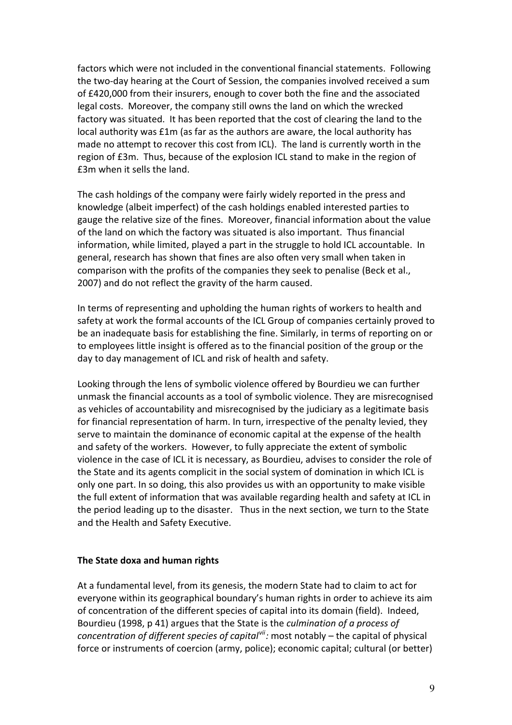factors which were not included in the conventional financial statements. Following the two-day hearing at the Court of Session, the companies involved received a sum of £420,000 from their insurers, enough to cover both the fine and the associated legal costs. Moreover, the company still owns the land on which the wrecked factory was situated. It has been reported that the cost of clearing the land to the local authority was £1m (as far as the authors are aware, the local authority has made no attempt to recover this cost from ICL). The land is currently worth in the region of £3m. Thus, because of the explosion ICL stand to make in the region of £3m when it sells the land.

The cash holdings of the company were fairly widely reported in the press and knowledge (albeit imperfect) of the cash holdings enabled interested parties to gauge the relative size of the fines. Moreover, financial information about the value of the land on which the factory was situated is also important. Thus financial information, while limited, played a part in the struggle to hold ICL accountable. In general, research has shown that fines are also often very small when taken in comparison with the profits of the companies they seek to penalise (Beck et al., 2007) and do not reflect the gravity of the harm caused.

In terms of representing and upholding the human rights of workers to health and safety at work the formal accounts of the ICL Group of companies certainly proved to be an inadequate basis for establishing the fine. Similarly, in terms of reporting on or to employees little insight is offered as to the financial position of the group or the day to day management of ICL and risk of health and safety.

Looking through the lens of symbolic violence offered by Bourdieu we can further unmask the financial accounts as a tool of symbolic violence. They are misrecognised as vehicles of accountability and misrecognised by the judiciary as a legitimate basis for financial representation of harm. In turn, irrespective of the penalty levied, they serve to maintain the dominance of economic capital at the expense of the health and safety of the workers. However, to fully appreciate the extent of symbolic violence in the case of ICL it is necessary, as Bourdieu, advises to consider the role of the State and its agents complicit in the social system of domination in which ICL is only one part. In so doing, this also provides us with an opportunity to make visible the full extent of information that was available regarding health and safety at ICL in the period leading up to the disaster. Thus in the next section, we turn to the State and the Health and Safety Executive.

# **The State doxa and human rights**

At a fundamental level, from its genesis, the modern State had to claim to act for everyone within its geographical boundaryís human rights in order to achieve its aim of concentration of the different species of capital into its domain (field). Indeed, Bourdieu (1998, p 41) argues that the State is the *culmination of a process of concentration of different species of capital<sup>[vii](#page-32-1)</sup>: most notably – the capital of physical* force or instruments of coercion (army, police); economic capital; cultural (or better)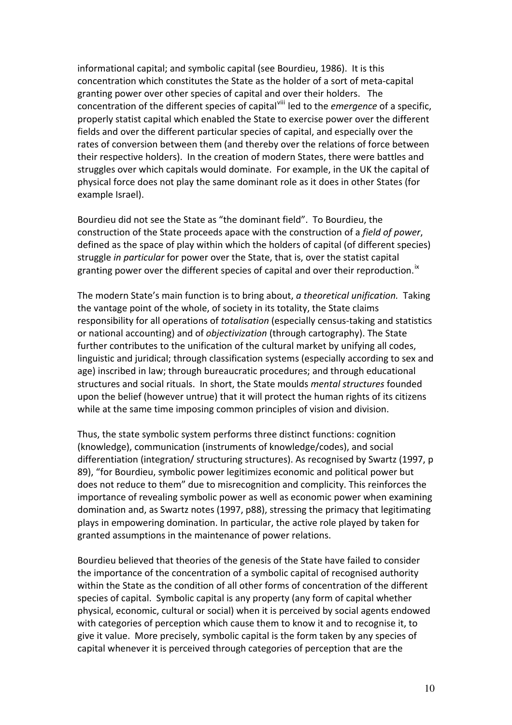informational capital; and symbolic capital (see Bourdieu, 1986). It is this concentration which constitutes the State as the holder of a sort of meta-capital granting power over other species of capital and over their holders. The concentration of the different species of capital[viii](#page-32-1) led to the *emergence* of a specific, properly statist capital which enabled the State to exercise power over the different fields and over the different particular species of capital, and especially over the rates of conversion between them (and thereby over the relations of force between their respective holders). In the creation of modern States, there were battles and struggles over which capitals would dominate. For example, in the UK the capital of physical force does not play the same dominant role as it does in other States (for example Israel).

Bourdieu did not see the State as "the dominant field". To Bourdieu, the construction of the State proceeds apace with the construction of a *field of power*, defined as the space of play within which the holders of capital (of different species) struggle *in particular* for power over the State, that is, over the statist capital granting power over the different species of capital and over their reproduction.<sup>[ix](#page-32-1)</sup>

The modern Stateís main function is to bring about, *a theoretical unification.* Taking the vantage point of the whole, of society in its totality, the State claims responsibility for all operations of *totalisation* (especially census-taking and statistics or national accounting) and of *objectivization* (through cartography). The State further contributes to the unification of the cultural market by unifying all codes, linguistic and juridical; through classification systems (especially according to sex and age) inscribed in law; through bureaucratic procedures; and through educational structures and social rituals. In short, the State moulds *mental structures* founded upon the belief (however untrue) that it will protect the human rights of its citizens while at the same time imposing common principles of vision and division.

Thus, the state symbolic system performs three distinct functions: cognition (knowledge), communication (instruments of knowledge/codes), and social differentiation (integration/ structuring structures). As recognised by Swartz (1997, p 89), "for Bourdieu, symbolic power legitimizes economic and political power but does not reduce to them" due to misrecognition and complicity. This reinforces the importance of revealing symbolic power as well as economic power when examining domination and, as Swartz notes (1997, p88), stressing the primacy that legitimating plays in empowering domination. In particular, the active role played by taken for granted assumptions in the maintenance of power relations.

Bourdieu believed that theories of the genesis of the State have failed to consider the importance of the concentration of a symbolic capital of recognised authority within the State as the condition of all other forms of concentration of the different species of capital. Symbolic capital is any property (any form of capital whether physical, economic, cultural or social) when it is perceived by social agents endowed with categories of perception which cause them to know it and to recognise it, to give it value. More precisely, symbolic capital is the form taken by any species of capital whenever it is perceived through categories of perception that are the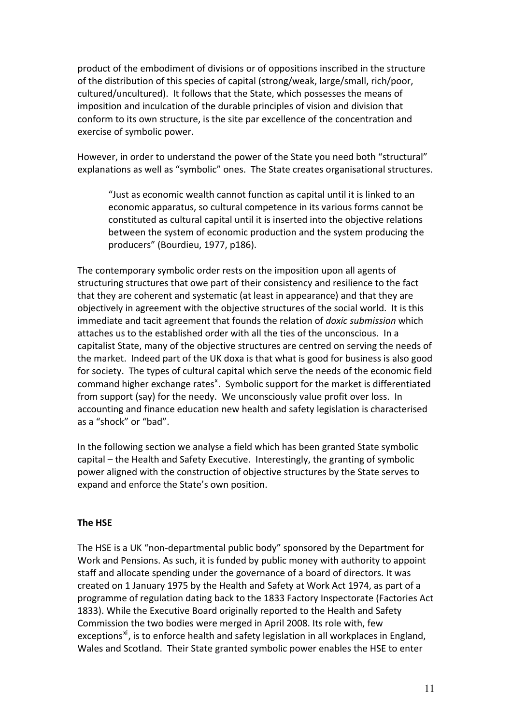product of the embodiment of divisions or of oppositions inscribed in the structure of the distribution of this species of capital (strong/weak, large/small, rich/poor, cultured/uncultured). It follows that the State, which possesses the means of imposition and inculcation of the durable principles of vision and division that conform to its own structure, is the site par excellence of the concentration and exercise of symbolic power.

However, in order to understand the power of the State you need both "structural" explanations as well as "symbolic" ones. The State creates organisational structures.

"Just as economic wealth cannot function as capital until it is linked to an economic apparatus, so cultural competence in its various forms cannot be constituted as cultural capital until it is inserted into the objective relations between the system of economic production and the system producing the producers" (Bourdieu, 1977, p186).

The contemporary symbolic order rests on the imposition upon all agents of structuring structures that owe part of their consistency and resilience to the fact that they are coherent and systematic (at least in appearance) and that they are objectively in agreement with the objective structures of the social world. It is this immediate and tacit agreement that founds the relation of *doxic submission* which attaches us to the established order with all the ties of the unconscious. In a capitalist State, many of the objective structures are centred on serving the needs of the market. Indeed part of the UK doxa is that what is good for business is also good for society. The types of cultural capital which serve the needs of the economic field command higher e[x](#page-33-0)change rates<sup>x</sup>. Symbolic support for the market is differentiated from support (say) for the needy. We unconsciously value profit over loss. In accounting and finance education new health and safety legislation is characterised as a "shock" or "bad".

In the following section we analyse a field which has been granted State symbolic capital – the Health and Safety Executive. Interestingly, the granting of symbolic power aligned with the construction of objective structures by the State serves to expand and enforce the State's own position.

# **The HSE**

The HSE is a UK "non-departmental public body" sponsored by the Department for Work and Pensions. As such, it is funded by public money with authority to appoint staff and allocate spending under the governance of a board of directors. It was created on 1 January 1975 by the Health and Safety at Work Act 1974, as part of a programme of regulation dating back to the 1833 Factory Inspectorate (Factories Act 1833). While the Executive Board originally reported to the Health and Safety Commission the two bodies were merged in April 2008. Its role with, few exceptions<sup>[xi](#page-33-0)</sup>, is to enforce health and safety legislation in all workplaces in England, Wales and Scotland. Their State granted symbolic power enables the HSE to enter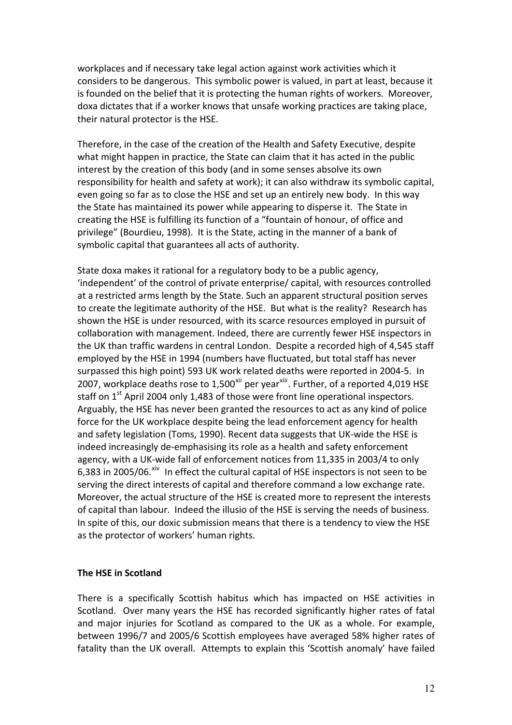workplaces and if necessary take legal action against work activities which it considers to be dangerous. This symbolic power is valued, in part at least, because it is founded on the belief that it is protecting the human rights of workers. Moreover, doxa dictates that if a worker knows that unsafe working practices are taking place, their natural protector is the HSE.

Therefore, in the case of the creation of the Health and Safety Executive, despite what might happen in practice, the State can claim that it has acted in the public interest by the creation of this body (and in some senses absolve its own responsibility for health and safety at work); it can also withdraw its symbolic capital, even going so far as to close the HSE and set up an entirely new body. In this way the State has maintained its power while appearing to disperse it. The State in creating the HSE is fulfilling its function of a "fountain of honour, of office and privilege" (Bourdieu, 1998). It is the State, acting in the manner of a bank of symbolic capital that guarantees all acts of authority.

State doxa makes it rational for a regulatory body to be a public agency, ëindependentí of the control of private enterprise/ capital, with resources controlled at a restricted arms length by the State. Such an apparent structural position serves to create the legitimate authority of the HSE. But what is the reality? Research has shown the HSE is under resourced, with its scarce resources employed in pursuit of collaboration with management. Indeed, there are currently fewer HSE inspectors in the UK than traffic wardens in central London. Despite a recorded high of 4,545 staff employed by the HSE in 1994 (numbers have fluctuated, but total staff has never surpassed this high point) 593 UK work related deaths were reported in 2004-5. In 2007, workplace deaths rose to 1,500<sup>[xii](#page-33-0)</sup> per year<sup>[xiii](#page-33-0)</sup>. Further, of a reported 4,019 HSE staff on  $1<sup>st</sup>$  April 2004 only 1,483 of those were front line operational inspectors. Arguably, the HSE has never been granted the resources to act as any kind of police force for the UK workplace despite being the lead enforcement agency for health and safety legislation (Toms, 1990). Recent data suggests that UK-wide the HSE is indeed increasingly de-emphasising its role as a health and safety enforcement agency, with a UK-wide fall of enforcement notices from 11,335 in 2003/4 to only 6,383 in 2005/06.<sup>[xiv](#page-33-0)</sup> In effect the cultural capital of HSE inspectors is not seen to be serving the direct interests of capital and therefore command a low exchange rate. Moreover, the actual structure of the HSE is created more to represent the interests of capital than labour. Indeed the illusio of the HSE is serving the needs of business. In spite of this, our doxic submission means that there is a tendency to view the HSE as the protector of workers' human rights.

# **The HSE in Scotland**

There is a specifically Scottish habitus which has impacted on HSE activities in Scotland. Over many years the HSE has recorded significantly higher rates of fatal and major injuries for Scotland as compared to the UK as a whole. For example, between 1996/7 and 2005/6 Scottish employees have averaged 58% higher rates of fatality than the UK overall. Attempts to explain this 'Scottish anomaly' have failed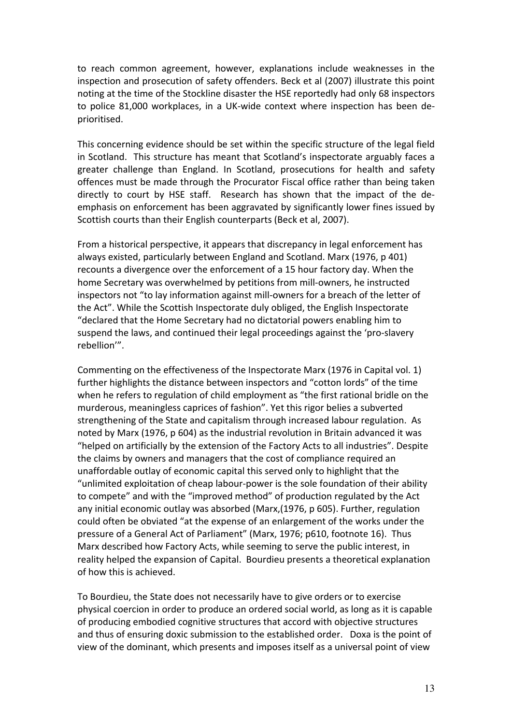to reach common agreement, however, explanations include weaknesses in the inspection and prosecution of safety offenders. Beck et al (2007) illustrate this point noting at the time of the Stockline disaster the HSE reportedly had only 68 inspectors to police 81,000 workplaces, in a UK-wide context where inspection has been deprioritised.

This concerning evidence should be set within the specific structure of the legal field in Scotland. This structure has meant that Scotland's inspectorate arguably faces a greater challenge than England. In Scotland, prosecutions for health and safety offences must be made through the Procurator Fiscal office rather than being taken directly to court by HSE staff. Research has shown that the impact of the deemphasis on enforcement has been aggravated by significantly lower fines issued by Scottish courts than their English counterparts (Beck et al, 2007).

From a historical perspective, it appears that discrepancy in legal enforcement has always existed, particularly between England and Scotland. Marx (1976, p 401) recounts a divergence over the enforcement of a 15 hour factory day. When the home Secretary was overwhelmed by petitions from mill-owners, he instructed inspectors not "to lay information against mill-owners for a breach of the letter of the Act". While the Scottish Inspectorate duly obliged, the English Inspectorate ìdeclared that the Home Secretary had no dictatorial powers enabling him to suspend the laws, and continued their legal proceedings against the 'pro-slavery rebellion'".

Commenting on the effectiveness of the Inspectorate Marx (1976 in Capital vol. 1) further highlights the distance between inspectors and "cotton lords" of the time when he refers to regulation of child employment as "the first rational bridle on the murderous, meaningless caprices of fashion". Yet this rigor belies a subverted strengthening of the State and capitalism through increased labour regulation. As noted by Marx (1976, p 604) as the industrial revolution in Britain advanced it was "helped on artificially by the extension of the Factory Acts to all industries". Despite the claims by owners and managers that the cost of compliance required an unaffordable outlay of economic capital this served only to highlight that the "unlimited exploitation of cheap labour-power is the sole foundation of their ability to compete" and with the "improved method" of production regulated by the Act any initial economic outlay was absorbed (Marx,(1976, p 605). Further, regulation could often be obviated "at the expense of an enlargement of the works under the pressure of a General Act of Parliament" (Marx, 1976; p610, footnote 16). Thus Marx described how Factory Acts, while seeming to serve the public interest, in reality helped the expansion of Capital. Bourdieu presents a theoretical explanation of how this is achieved.

To Bourdieu, the State does not necessarily have to give orders or to exercise physical coercion in order to produce an ordered social world, as long as it is capable of producing embodied cognitive structures that accord with objective structures and thus of ensuring doxic submission to the established order. Doxa is the point of view of the dominant, which presents and imposes itself as a universal point of view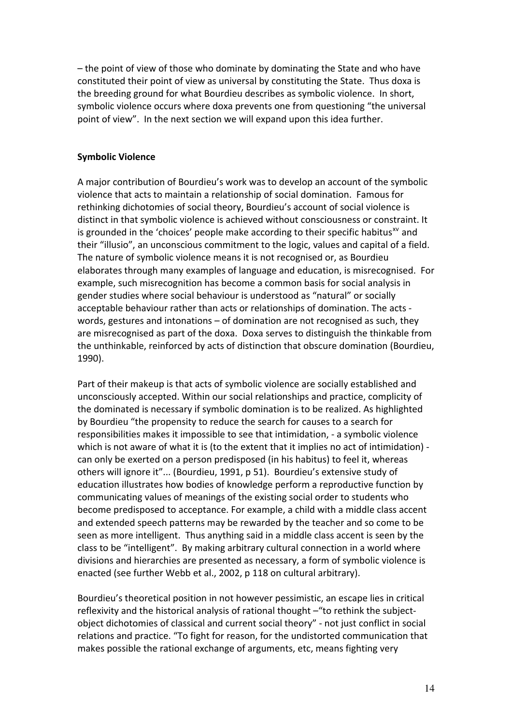$-$  the point of view of those who dominate by dominating the State and who have constituted their point of view as universal by constituting the State. Thus doxa is the breeding ground for what Bourdieu describes as symbolic violence. In short, symbolic violence occurs where doxa prevents one from questioning "the universal point of view". In the next section we will expand upon this idea further.

# **Symbolic Violence**

A major contribution of Bourdieuís work was to develop an account of the symbolic violence that acts to maintain a relationship of social domination. Famous for rethinking dichotomies of social theory, Bourdieuís account of social violence is distinct in that symbolic violence is achieved without consciousness or constraint. It is grounded in the 'choices' people make according to their specific habitus $x<sup>x</sup>$  and their "illusio", an unconscious commitment to the logic, values and capital of a field. The nature of symbolic violence means it is not recognised or, as Bourdieu elaborates through many examples of language and education, is misrecognised. For example, such misrecognition has become a common basis for social analysis in gender studies where social behaviour is understood as "natural" or socially acceptable behaviour rather than acts or relationships of domination. The acts words, gestures and intonations  $-$  of domination are not recognised as such, they are misrecognised as part of the doxa. Doxa serves to distinguish the thinkable from the unthinkable, reinforced by acts of distinction that obscure domination (Bourdieu, 1990).

Part of their makeup is that acts of symbolic violence are socially established and unconsciously accepted. Within our social relationships and practice, complicity of the dominated is necessary if symbolic domination is to be realized. As highlighted by Bourdieu "the propensity to reduce the search for causes to a search for responsibilities makes it impossible to see that intimidation, - a symbolic violence which is not aware of what it is (to the extent that it implies no act of intimidation) can only be exerted on a person predisposed (in his habitus) to feel it, whereas others will ignore it"... (Bourdieu, 1991, p 51). Bourdieu's extensive study of education illustrates how bodies of knowledge perform a reproductive function by communicating values of meanings of the existing social order to students who become predisposed to acceptance. For example, a child with a middle class accent and extended speech patterns may be rewarded by the teacher and so come to be seen as more intelligent. Thus anything said in a middle class accent is seen by the class to be "intelligent". By making arbitrary cultural connection in a world where divisions and hierarchies are presented as necessary, a form of symbolic violence is enacted (see further Webb et al., 2002, p 118 on cultural arbitrary).

Bourdieuís theoretical position in not however pessimistic, an escape lies in critical reflexivity and the historical analysis of rational thought -"to rethink the subjectobject dichotomies of classical and current social theory" - not just conflict in social relations and practice. "To fight for reason, for the undistorted communication that makes possible the rational exchange of arguments, etc, means fighting very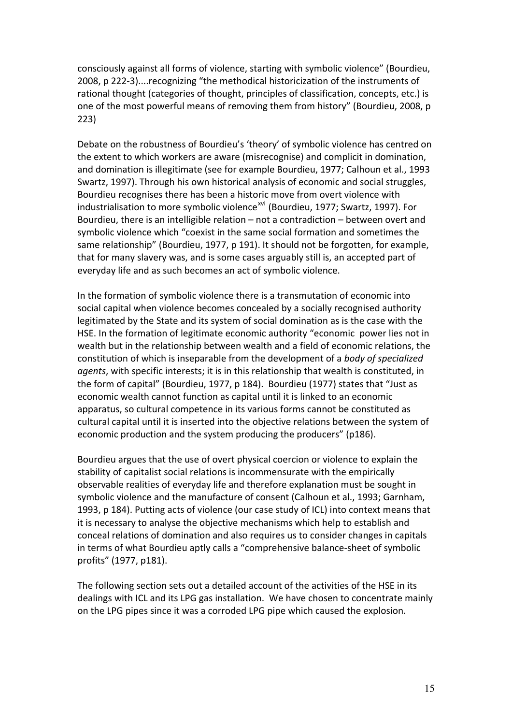consciously against all forms of violence, starting with symbolic violence" (Bourdieu, 2008, p 222-3)....recognizing "the methodical historicization of the instruments of rational thought (categories of thought, principles of classification, concepts, etc.) is one of the most powerful means of removing them from history" (Bourdieu, 2008, p 223)

Debate on the robustness of Bourdieu's 'theory' of symbolic violence has centred on the extent to which workers are aware (misrecognise) and complicit in domination, and domination is illegitimate (see for example Bourdieu, 1977; Calhoun et al., 1993 Swartz, 1997). Through his own historical analysis of economic and social struggles, Bourdieu recognises there has been a historic move from overt violence with industrialisation to more symbolic violence<sup>[xvi](#page-33-0)</sup> (Bourdieu, 1977; Swartz, 1997). For Bourdieu, there is an intelligible relation - not a contradiction - between overt and symbolic violence which "coexist in the same social formation and sometimes the same relationship" (Bourdieu, 1977, p 191). It should not be forgotten, for example, that for many slavery was, and is some cases arguably still is, an accepted part of everyday life and as such becomes an act of symbolic violence.

In the formation of symbolic violence there is a transmutation of economic into social capital when violence becomes concealed by a socially recognised authority legitimated by the State and its system of social domination as is the case with the HSE. In the formation of legitimate economic authority "economic power lies not in wealth but in the relationship between wealth and a field of economic relations, the constitution of which is inseparable from the development of a *body of specialized agents*, with specific interests; it is in this relationship that wealth is constituted, in the form of capital" (Bourdieu, 1977, p 184). Bourdieu (1977) states that "Just as economic wealth cannot function as capital until it is linked to an economic apparatus, so cultural competence in its various forms cannot be constituted as cultural capital until it is inserted into the objective relations between the system of economic production and the system producing the producers" (p186).

Bourdieu argues that the use of overt physical coercion or violence to explain the stability of capitalist social relations is incommensurate with the empirically observable realities of everyday life and therefore explanation must be sought in symbolic violence and the manufacture of consent (Calhoun et al., 1993; Garnham, 1993, p 184). Putting acts of violence (our case study of ICL) into context means that it is necessary to analyse the objective mechanisms which help to establish and conceal relations of domination and also requires us to consider changes in capitals in terms of what Bourdieu aptly calls a "comprehensive balance-sheet of symbolic profits" (1977, p181).

The following section sets out a detailed account of the activities of the HSE in its dealings with ICL and its LPG gas installation. We have chosen to concentrate mainly on the LPG pipes since it was a corroded LPG pipe which caused the explosion.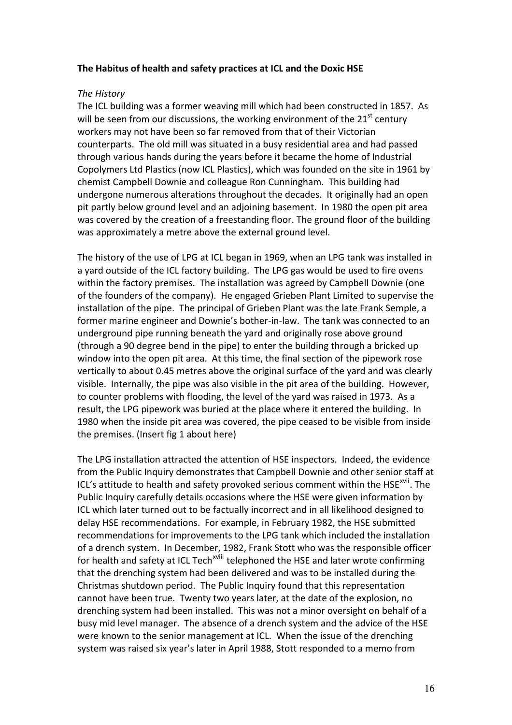# **The Habitus of health and safety practices at ICL and the Doxic HSE**

#### *The History*

The ICL building was a former weaving mill which had been constructed in 1857. As will be seen from our discussions, the working environment of the  $21<sup>st</sup>$  century workers may not have been so far removed from that of their Victorian counterparts. The old mill was situated in a busy residential area and had passed through various hands during the years before it became the home of Industrial Copolymers Ltd Plastics (now ICL Plastics), which was founded on the site in 1961 by chemist Campbell Downie and colleague Ron Cunningham. This building had undergone numerous alterations throughout the decades. It originally had an open pit partly below ground level and an adjoining basement. In 1980 the open pit area was covered by the creation of a freestanding floor. The ground floor of the building was approximately a metre above the external ground level.

The history of the use of LPG at ICL began in 1969, when an LPG tank was installed in a yard outside of the ICL factory building. The LPG gas would be used to fire ovens within the factory premises. The installation was agreed by Campbell Downie (one of the founders of the company). He engaged Grieben Plant Limited to supervise the installation of the pipe. The principal of Grieben Plant was the late Frank Semple, a former marine engineer and Downie's bother-in-law. The tank was connected to an underground pipe running beneath the yard and originally rose above ground (through a 90 degree bend in the pipe) to enter the building through a bricked up window into the open pit area. At this time, the final section of the pipework rose vertically to about 0.45 metres above the original surface of the yard and was clearly visible. Internally, the pipe was also visible in the pit area of the building. However, to counter problems with flooding, the level of the yard was raised in 1973. As a result, the LPG pipework was buried at the place where it entered the building. In 1980 when the inside pit area was covered, the pipe ceased to be visible from inside the premises. (Insert fig 1 about here)

The LPG installation attracted the attention of HSE inspectors. Indeed, the evidence from the Public Inquiry demonstrates that Campbell Downie and other senior staff at ICL's attitude to health and safety provoked serious comment within the HSE<sup>[xvii](#page-33-0)</sup>. The Public Inquiry carefully details occasions where the HSE were given information by ICL which later turned out to be factually incorrect and in all likelihood designed to delay HSE recommendations. For example, in February 1982, the HSE submitted recommendations for improvements to the LPG tank which included the installation of a drench system. In December, 1982, Frank Stott who was the responsible officer for health and safety at ICL Tech<sup>[xviii](#page-33-0)</sup> telephoned the HSE and later wrote confirming that the drenching system had been delivered and was to be installed during the Christmas shutdown period. The Public Inquiry found that this representation cannot have been true. Twenty two years later, at the date of the explosion, no drenching system had been installed. This was not a minor oversight on behalf of a busy mid level manager. The absence of a drench system and the advice of the HSE were known to the senior management at ICL. When the issue of the drenching system was raised six year's later in April 1988, Stott responded to a memo from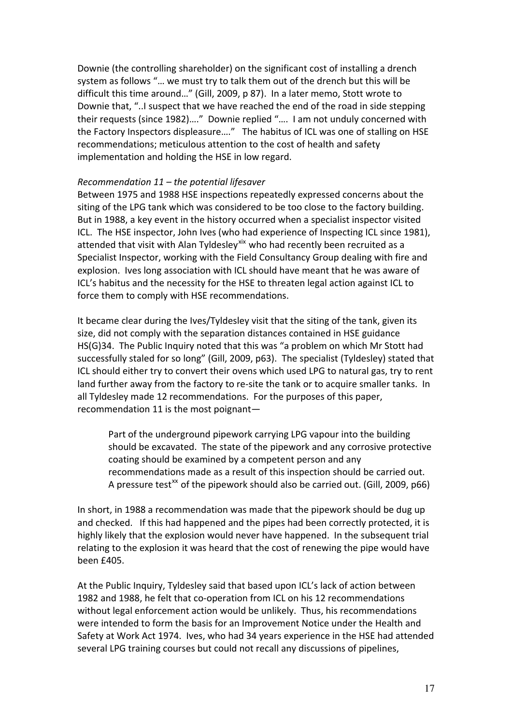Downie (the controlling shareholder) on the significant cost of installing a drench system as follows "... we must try to talk them out of the drench but this will be difficult this time around..." (Gill, 2009, p 87). In a later memo, Stott wrote to Downie that, "..I suspect that we have reached the end of the road in side stepping their requests (since 1982)...." Downie replied ".... I am not unduly concerned with the Factory Inspectors displeasure...." The habitus of ICL was one of stalling on HSE recommendations; meticulous attention to the cost of health and safety implementation and holding the HSE in low regard.

# *Recommendation 11 ñ the potential lifesaver*

Between 1975 and 1988 HSE inspections repeatedly expressed concerns about the siting of the LPG tank which was considered to be too close to the factory building. But in 1988, a key event in the history occurred when a specialist inspector visited ICL. The HSE inspector, John Ives (who had experience of Inspecting ICL since 1981), attended that visit with Alan Tyldesley<sup>[xix](#page-33-0)</sup> who had recently been recruited as a Specialist Inspector, working with the Field Consultancy Group dealing with fire and explosion. Ives long association with ICL should have meant that he was aware of ICLís habitus and the necessity for the HSE to threaten legal action against ICL to force them to comply with HSE recommendations.

It became clear during the Ives/Tyldesley visit that the siting of the tank, given its size, did not comply with the separation distances contained in HSE guidance HS(G)34. The Public Inquiry noted that this was "a problem on which Mr Stott had successfully staled for so long" (Gill, 2009, p63). The specialist (Tyldesley) stated that ICL should either try to convert their ovens which used LPG to natural gas, try to rent land further away from the factory to re-site the tank or to acquire smaller tanks. In all Tyldesley made 12 recommendations. For the purposes of this paper, recommendation 11 is the most poignant $-$ 

Part of the underground pipework carrying LPG vapour into the building should be excavated. The state of the pipework and any corrosive protective coating should be examined by a competent person and any recommendations made as a result of this inspection should be carried out. A pressure test<sup>[xx](#page-33-0)</sup> of the pipework should also be carried out. (Gill, 2009, p66)

In short, in 1988 a recommendation was made that the pipework should be dug up and checked. If this had happened and the pipes had been correctly protected, it is highly likely that the explosion would never have happened. In the subsequent trial relating to the explosion it was heard that the cost of renewing the pipe would have been £405.

At the Public Inquiry, Tyldesley said that based upon ICLís lack of action between 1982 and 1988, he felt that co-operation from ICL on his 12 recommendations without legal enforcement action would be unlikely. Thus, his recommendations were intended to form the basis for an Improvement Notice under the Health and Safety at Work Act 1974. Ives, who had 34 years experience in the HSE had attended several LPG training courses but could not recall any discussions of pipelines,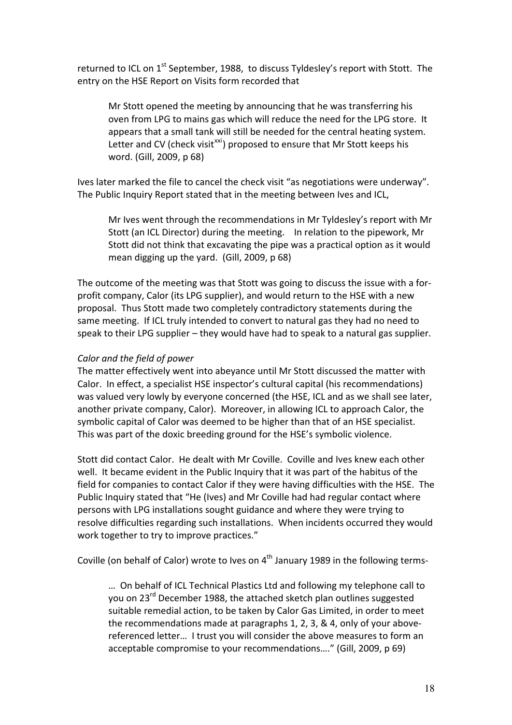returned to ICL on 1<sup>st</sup> September, 1988, to discuss Tyldesley's report with Stott. The entry on the HSE Report on Visits form recorded that

Mr Stott opened the meeting by announcing that he was transferring his oven from LPG to mains gas which will reduce the need for the LPG store. It appears that a small tank will still be needed for the central heating system. Letter and CV (check visit<sup> $xxi$ </sup>) proposed to ensure that Mr Stott keeps his word. (Gill, 2009, p 68)

Ives later marked the file to cancel the check visit "as negotiations were underway". The Public Inquiry Report stated that in the meeting between Ives and ICL,

Mr Ives went through the recommendations in Mr Tyldesley's report with Mr Stott (an ICL Director) during the meeting. In relation to the pipework, Mr Stott did not think that excavating the pipe was a practical option as it would mean digging up the yard. (Gill, 2009, p 68)

The outcome of the meeting was that Stott was going to discuss the issue with a forprofit company, Calor (its LPG supplier), and would return to the HSE with a new proposal. Thus Stott made two completely contradictory statements during the same meeting. If ICL truly intended to convert to natural gas they had no need to speak to their LPG supplier – they would have had to speak to a natural gas supplier.

# *Calor and the field of power*

The matter effectively went into abeyance until Mr Stott discussed the matter with Calor. In effect, a specialist HSE inspector's cultural capital (his recommendations) was valued very lowly by everyone concerned (the HSE, ICL and as we shall see later, another private company, Calor). Moreover, in allowing ICL to approach Calor, the symbolic capital of Calor was deemed to be higher than that of an HSE specialist. This was part of the doxic breeding ground for the HSE's symbolic violence.

Stott did contact Calor. He dealt with Mr Coville. Coville and Ives knew each other well. It became evident in the Public Inquiry that it was part of the habitus of the field for companies to contact Calor if they were having difficulties with the HSE. The Public Inquiry stated that "He (Ives) and Mr Coville had had regular contact where persons with LPG installations sought guidance and where they were trying to resolve difficulties regarding such installations. When incidents occurred they would work together to try to improve practices."

Coville (on behalf of Calor) wrote to Ives on  $4<sup>th</sup>$  January 1989 in the following terms-

... On behalf of ICL Technical Plastics Ltd and following my telephone call to you on 23rd December 1988, the attached sketch plan outlines suggested suitable remedial action, to be taken by Calor Gas Limited, in order to meet the recommendations made at paragraphs 1, 2, 3, & 4, only of your abovereferenced letter... I trust you will consider the above measures to form an acceptable compromise to your recommendations...." (Gill, 2009, p 69)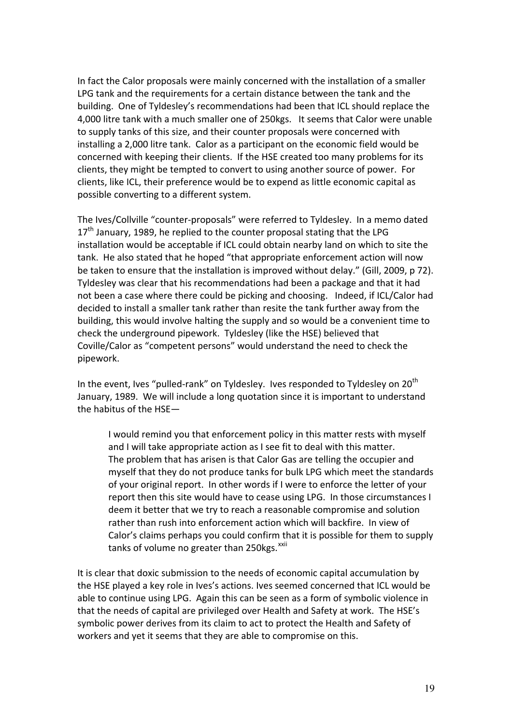In fact the Calor proposals were mainly concerned with the installation of a smaller LPG tank and the requirements for a certain distance between the tank and the building. One of Tyldesleyís recommendations had been that ICL should replace the 4,000 litre tank with a much smaller one of 250kgs. It seems that Calor were unable to supply tanks of this size, and their counter proposals were concerned with installing a 2,000 litre tank. Calor as a participant on the economic field would be concerned with keeping their clients. If the HSE created too many problems for its clients, they might be tempted to convert to using another source of power. For clients, like ICL, their preference would be to expend as little economic capital as possible converting to a different system.

The Ives/Collville "counter-proposals" were referred to Tyldesley. In a memo dated  $17<sup>th</sup>$  January, 1989, he replied to the counter proposal stating that the LPG installation would be acceptable if ICL could obtain nearby land on which to site the tank. He also stated that he hoped "that appropriate enforcement action will now be taken to ensure that the installation is improved without delay." (Gill, 2009, p 72). Tyldesley was clear that his recommendations had been a package and that it had not been a case where there could be picking and choosing. Indeed, if ICL/Calor had decided to install a smaller tank rather than resite the tank further away from the building, this would involve halting the supply and so would be a convenient time to check the underground pipework. Tyldesley (like the HSE) believed that Coville/Calor as "competent persons" would understand the need to check the pipework.

In the event, Ives "pulled-rank" on Tyldesley. Ives responded to Tyldesley on  $20<sup>th</sup>$ January, 1989. We will include a long quotation since it is important to understand the habitus of the  $HSE-$ 

I would remind you that enforcement policy in this matter rests with myself and I will take appropriate action as I see fit to deal with this matter. The problem that has arisen is that Calor Gas are telling the occupier and myself that they do not produce tanks for bulk LPG which meet the standards of your original report. In other words if I were to enforce the letter of your report then this site would have to cease using LPG. In those circumstances I deem it better that we try to reach a reasonable compromise and solution rather than rush into enforcement action which will backfire. In view of Calor's claims perhaps you could confirm that it is possible for them to supply tanks of volume no greater than 250kgs.<sup>[xxii](#page-33-0)</sup>

It is clear that doxic submission to the needs of economic capital accumulation by the HSE played a key role in Ivesís actions. Ives seemed concerned that ICL would be able to continue using LPG. Again this can be seen as a form of symbolic violence in that the needs of capital are privileged over Health and Safety at work. The HSE's symbolic power derives from its claim to act to protect the Health and Safety of workers and yet it seems that they are able to compromise on this.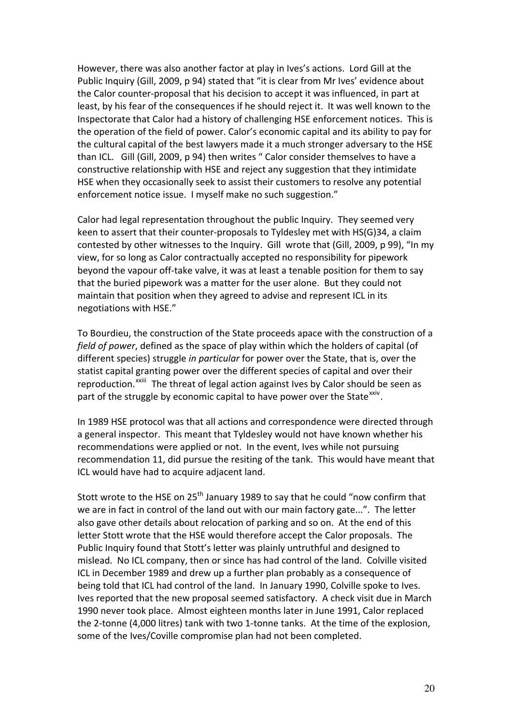However, there was also another factor at play in Ives's actions. Lord Gill at the Public Inquiry (Gill, 2009, p 94) stated that "it is clear from Mr Ives' evidence about the Calor counter-proposal that his decision to accept it was influenced, in part at least, by his fear of the consequences if he should reject it. It was well known to the Inspectorate that Calor had a history of challenging HSE enforcement notices. This is the operation of the field of power. Calor's economic capital and its ability to pay for the cultural capital of the best lawyers made it a much stronger adversary to the HSE than ICL. Gill (Gill, 2009, p 94) then writes " Calor consider themselves to have a constructive relationship with HSE and reject any suggestion that they intimidate HSE when they occasionally seek to assist their customers to resolve any potential enforcement notice issue. I myself make no such suggestion."

Calor had legal representation throughout the public Inquiry. They seemed very keen to assert that their counter-proposals to Tyldesley met with HS(G)34, a claim contested by other witnesses to the Inquiry. Gill wrote that (Gill, 2009, p 99), "In my view, for so long as Calor contractually accepted no responsibility for pipework beyond the vapour off-take valve, it was at least a tenable position for them to say that the buried pipework was a matter for the user alone. But they could not maintain that position when they agreed to advise and represent ICL in its negotiations with HSE."

To Bourdieu, the construction of the State proceeds apace with the construction of a *field of power*, defined as the space of play within which the holders of capital (of different species) struggle *in particular* for power over the State, that is, over the statist capital granting power over the different species of capital and over their reproduction.<sup>[xxiii](#page-33-0)</sup> The threat of legal action against Ives by Calor should be seen as part of the struggle by economic capital to have power over the State<sup>[xxiv](#page-33-0)</sup>.

In 1989 HSE protocol was that all actions and correspondence were directed through a general inspector. This meant that Tyldesley would not have known whether his recommendations were applied or not. In the event, Ives while not pursuing recommendation 11, did pursue the resiting of the tank. This would have meant that ICL would have had to acquire adjacent land.

Stott wrote to the HSE on  $25<sup>th</sup>$  January 1989 to say that he could "now confirm that we are in fact in control of the land out with our main factory gate...". The letter also gave other details about relocation of parking and so on. At the end of this letter Stott wrote that the HSE would therefore accept the Calor proposals. The Public Inquiry found that Stott's letter was plainly untruthful and designed to mislead. No ICL company, then or since has had control of the land. Colville visited ICL in December 1989 and drew up a further plan probably as a consequence of being told that ICL had control of the land. In January 1990, Colville spoke to Ives. Ives reported that the new proposal seemed satisfactory. A check visit due in March 1990 never took place. Almost eighteen months later in June 1991, Calor replaced the 2-tonne (4,000 litres) tank with two 1-tonne tanks. At the time of the explosion, some of the Ives/Coville compromise plan had not been completed.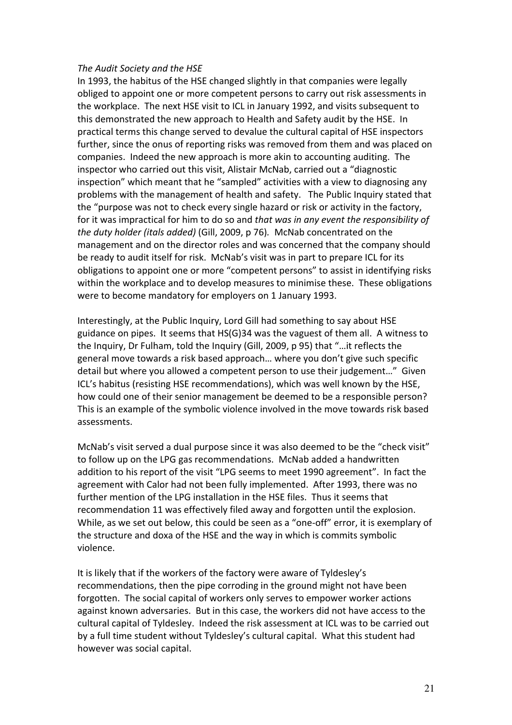### *The Audit Society and the HSE*

In 1993, the habitus of the HSE changed slightly in that companies were legally obliged to appoint one or more competent persons to carry out risk assessments in the workplace. The next HSE visit to ICL in January 1992, and visits subsequent to this demonstrated the new approach to Health and Safety audit by the HSE. In practical terms this change served to devalue the cultural capital of HSE inspectors further, since the onus of reporting risks was removed from them and was placed on companies. Indeed the new approach is more akin to accounting auditing. The inspector who carried out this visit, Alistair McNab, carried out a "diagnostic inspection" which meant that he "sampled" activities with a view to diagnosing any problems with the management of health and safety. The Public Inquiry stated that the "purpose was not to check every single hazard or risk or activity in the factory, for it was impractical for him to do so and *that was in any event the responsibility of the duty holder (itals added)* (Gill, 2009, p 76)*.* McNab concentrated on the management and on the director roles and was concerned that the company should be ready to audit itself for risk. McNab's visit was in part to prepare ICL for its obligations to appoint one or more "competent persons" to assist in identifying risks within the workplace and to develop measures to minimise these. These obligations were to become mandatory for employers on 1 January 1993.

Interestingly, at the Public Inquiry, Lord Gill had something to say about HSE guidance on pipes. It seems that HS(G)34 was the vaguest of them all. A witness to the Inquiry, Dr Fulham, told the Inquiry (Gill, 2009, p 95) that "...it reflects the general move towards a risk based approach... where you don't give such specific detail but where you allowed a competent person to use their judgement..." Given ICL's habitus (resisting HSE recommendations), which was well known by the HSE, how could one of their senior management be deemed to be a responsible person? This is an example of the symbolic violence involved in the move towards risk based assessments.

McNab's visit served a dual purpose since it was also deemed to be the "check visit" to follow up on the LPG gas recommendations. McNab added a handwritten addition to his report of the visit "LPG seems to meet 1990 agreement". In fact the agreement with Calor had not been fully implemented. After 1993, there was no further mention of the LPG installation in the HSE files. Thus it seems that recommendation 11 was effectively filed away and forgotten until the explosion. While, as we set out below, this could be seen as a "one-off" error, it is exemplary of the structure and doxa of the HSE and the way in which is commits symbolic violence.

It is likely that if the workers of the factory were aware of Tyldesley's recommendations, then the pipe corroding in the ground might not have been forgotten. The social capital of workers only serves to empower worker actions against known adversaries. But in this case, the workers did not have access to the cultural capital of Tyldesley. Indeed the risk assessment at ICL was to be carried out by a full time student without Tyldesley's cultural capital. What this student had however was social capital.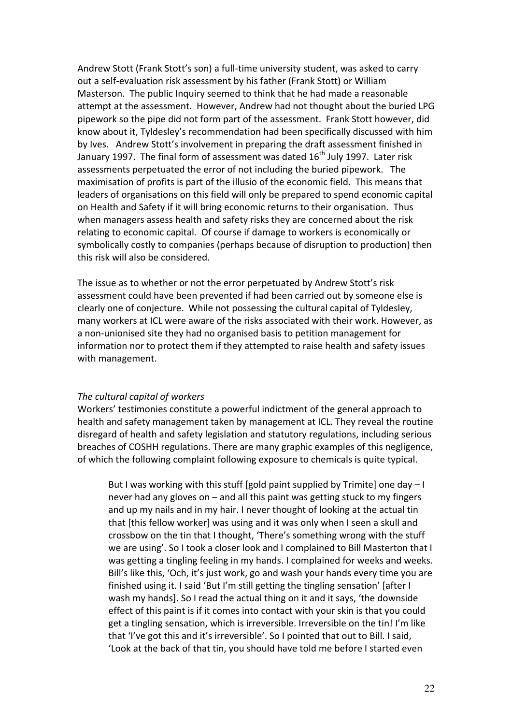Andrew Stott (Frank Stott's son) a full-time university student, was asked to carry out a self-evaluation risk assessment by his father (Frank Stott) or William Masterson. The public Inquiry seemed to think that he had made a reasonable attempt at the assessment. However, Andrew had not thought about the buried LPG pipework so the pipe did not form part of the assessment. Frank Stott however, did know about it, Tyldesleyís recommendation had been specifically discussed with him by Ives. Andrew Stott's involvement in preparing the draft assessment finished in January 1997. The final form of assessment was dated  $16<sup>th</sup>$  July 1997. Later risk assessments perpetuated the error of not including the buried pipework. The maximisation of profits is part of the illusio of the economic field. This means that leaders of organisations on this field will only be prepared to spend economic capital on Health and Safety if it will bring economic returns to their organisation. Thus when managers assess health and safety risks they are concerned about the risk relating to economic capital. Of course if damage to workers is economically or symbolically costly to companies (perhaps because of disruption to production) then this risk will also be considered.

The issue as to whether or not the error perpetuated by Andrew Stott's risk assessment could have been prevented if had been carried out by someone else is clearly one of conjecture. While not possessing the cultural capital of Tyldesley, many workers at ICL were aware of the risks associated with their work. However, as a non-unionised site they had no organised basis to petition management for information nor to protect them if they attempted to raise health and safety issues with management.

#### *The cultural capital of workers*

Workers' testimonies constitute a powerful indictment of the general approach to health and safety management taken by management at ICL. They reveal the routine disregard of health and safety legislation and statutory regulations, including serious breaches of COSHH regulations. There are many graphic examples of this negligence, of which the following complaint following exposure to chemicals is quite typical.

But I was working with this stuff [gold paint supplied by Trimite] one day  $-1$ never had any gloves on  $-$  and all this paint was getting stuck to my fingers and up my nails and in my hair. I never thought of looking at the actual tin that [this fellow worker] was using and it was only when I seen a skull and crossbow on the tin that I thought, 'There's something wrong with the stuff we are using'. So I took a closer look and I complained to Bill Masterton that I was getting a tingling feeling in my hands. I complained for weeks and weeks. Bill's like this, 'Och, it's just work, go and wash your hands every time you are finished using it. I said 'But I'm still getting the tingling sensation' [after I wash my hands]. So I read the actual thing on it and it says, 'the downside effect of this paint is if it comes into contact with your skin is that you could get a tingling sensation, which is irreversible. Irreversible on the tin! I'm like that 'I've got this and it's irreversible'. So I pointed that out to Bill. I said, 'Look at the back of that tin, you should have told me before I started even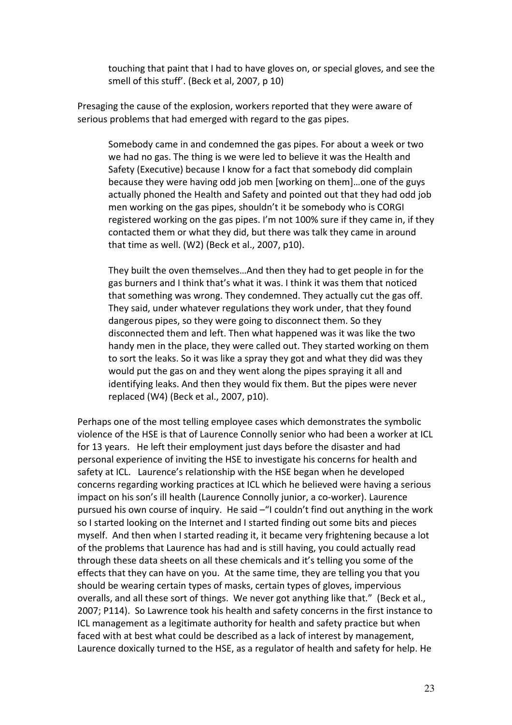touching that paint that I had to have gloves on, or special gloves, and see the smell of this stuff'. (Beck et al, 2007, p 10)

Presaging the cause of the explosion, workers reported that they were aware of serious problems that had emerged with regard to the gas pipes.

Somebody came in and condemned the gas pipes. For about a week or two we had no gas. The thing is we were led to believe it was the Health and Safety (Executive) because I know for a fact that somebody did complain because they were having odd job men [working on them]...one of the guys actually phoned the Health and Safety and pointed out that they had odd job men working on the gas pipes, shouldn't it be somebody who is CORGI registered working on the gas pipes. Iím not 100% sure if they came in, if they contacted them or what they did, but there was talk they came in around that time as well. (W2) (Beck et al., 2007, p10).

They built the oven themselves... And then they had to get people in for the gas burners and I think that's what it was. I think it was them that noticed that something was wrong. They condemned. They actually cut the gas off. They said, under whatever regulations they work under, that they found dangerous pipes, so they were going to disconnect them. So they disconnected them and left. Then what happened was it was like the two handy men in the place, they were called out. They started working on them to sort the leaks. So it was like a spray they got and what they did was they would put the gas on and they went along the pipes spraying it all and identifying leaks. And then they would fix them. But the pipes were never replaced (W4) (Beck et al., 2007, p10).

Perhaps one of the most telling employee cases which demonstrates the symbolic violence of the HSE is that of Laurence Connolly senior who had been a worker at ICL for 13 years. He left their employment just days before the disaster and had personal experience of inviting the HSE to investigate his concerns for health and safety at ICL. Laurence's relationship with the HSE began when he developed concerns regarding working practices at ICL which he believed were having a serious impact on his son's ill health (Laurence Connolly junior, a co-worker). Laurence pursued his own course of inquiry. He said - "I couldn't find out anything in the work so I started looking on the Internet and I started finding out some bits and pieces myself. And then when I started reading it, it became very frightening because a lot of the problems that Laurence has had and is still having, you could actually read through these data sheets on all these chemicals and it's telling you some of the effects that they can have on you. At the same time, they are telling you that you should be wearing certain types of masks, certain types of gloves, impervious overalls, and all these sort of things. We never got anything like that." (Beck et al., 2007; P114). So Lawrence took his health and safety concerns in the first instance to ICL management as a legitimate authority for health and safety practice but when faced with at best what could be described as a lack of interest by management, Laurence doxically turned to the HSE, as a regulator of health and safety for help. He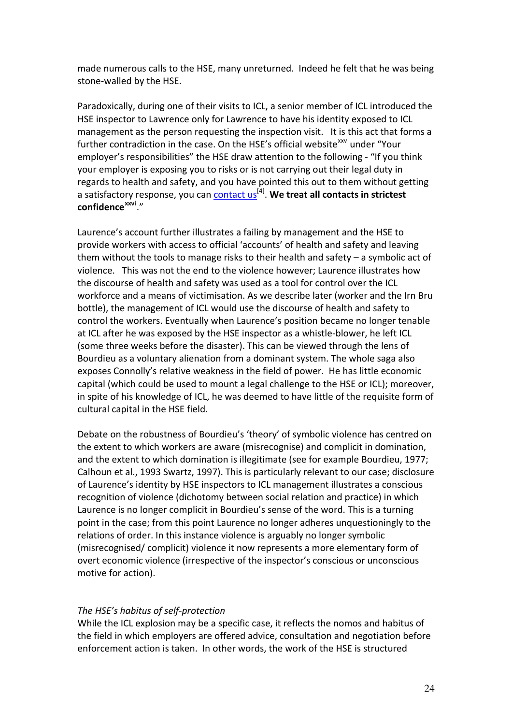made numerous calls to the HSE, many unreturned. Indeed he felt that he was being stone-walled by the HSE.

Paradoxically, during one of their visits to ICL, a senior member of ICL introduced the HSE inspector to Lawrence only for Lawrence to have his identity exposed to ICL management as the person requesting the inspection visit. It is this act that forms a further contradiction in the case. On the HSE's official website<sup>[xxv](#page-33-0)</sup> under "Your employer's responsibilities" the HSE draw attention to the following - "If you think your employer is exposing you to risks or is not carrying out their legal duty in regards to health and safety, and you have pointed this out to them without getting a satisfactory response, you can [contact](http://www.hse.gov.uk/contact/index.htm) us[4] . **We treat all contacts in strictest confidence[xxvi](#page-33-0)**.î

Laurence's account further illustrates a failing by management and the HSE to provide workers with access to official 'accounts' of health and safety and leaving them without the tools to manage risks to their health and safety  $-$  a symbolic act of violence. This was not the end to the violence however; Laurence illustrates how the discourse of health and safety was used as a tool for control over the ICL workforce and a means of victimisation. As we describe later (worker and the Irn Bru bottle), the management of ICL would use the discourse of health and safety to control the workers. Eventually when Laurenceís position became no longer tenable at ICL after he was exposed by the HSE inspector as a whistle-blower, he left ICL (some three weeks before the disaster). This can be viewed through the lens of Bourdieu as a voluntary alienation from a dominant system. The whole saga also exposes Connollyís relative weakness in the field of power. He has little economic capital (which could be used to mount a legal challenge to the HSE or ICL); moreover, in spite of his knowledge of ICL, he was deemed to have little of the requisite form of cultural capital in the HSE field.

Debate on the robustness of Bourdieu's 'theory' of symbolic violence has centred on the extent to which workers are aware (misrecognise) and complicit in domination, and the extent to which domination is illegitimate (see for example Bourdieu, 1977; Calhoun et al., 1993 Swartz, 1997). This is particularly relevant to our case; disclosure of Laurence's identity by HSE inspectors to ICL management illustrates a conscious recognition of violence (dichotomy between social relation and practice) in which Laurence is no longer complicit in Bourdieu's sense of the word. This is a turning point in the case; from this point Laurence no longer adheres unquestioningly to the relations of order. In this instance violence is arguably no longer symbolic (misrecognised/ complicit) violence it now represents a more elementary form of overt economic violence (irrespective of the inspector's conscious or unconscious motive for action).

# *The HSE's habitus of self-protection*

While the ICL explosion may be a specific case, it reflects the nomos and habitus of the field in which employers are offered advice, consultation and negotiation before enforcement action is taken. In other words, the work of the HSE is structured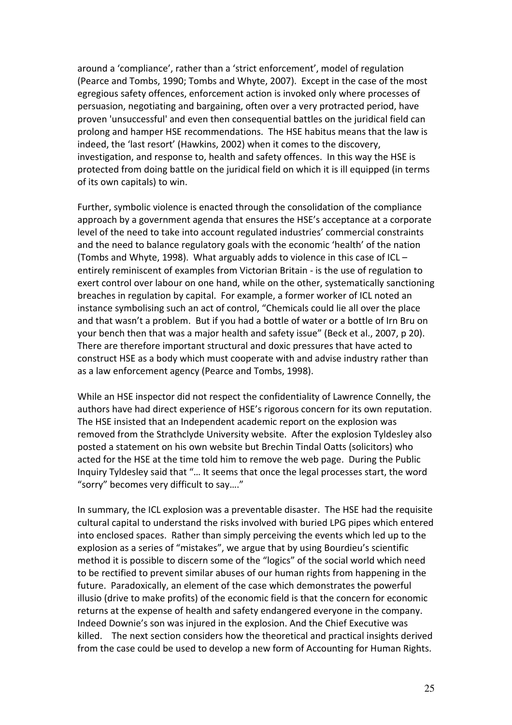around a 'compliance', rather than a 'strict enforcement', model of regulation (Pearce and Tombs, 1990; Tombs and Whyte, 2007). Except in the case of the most egregious safety offences, enforcement action is invoked only where processes of persuasion, negotiating and bargaining, often over a very protracted period, have proven 'unsuccessful' and even then consequential battles on the juridical field can prolong and hamper HSE recommendations. The HSE habitus means that the law is indeed, the 'last resort' (Hawkins, 2002) when it comes to the discovery, investigation, and response to, health and safety offences. In this way the HSE is protected from doing battle on the juridical field on which it is ill equipped (in terms of its own capitals) to win.

Further, symbolic violence is enacted through the consolidation of the compliance approach by a government agenda that ensures the HSE's acceptance at a corporate level of the need to take into account regulated industries' commercial constraints and the need to balance regulatory goals with the economic 'health' of the nation (Tombs and Whyte, 1998). What arguably adds to violence in this case of ICL – entirely reminiscent of examples from Victorian Britain - is the use of regulation to exert control over labour on one hand, while on the other, systematically sanctioning breaches in regulation by capital. For example, a former worker of ICL noted an instance symbolising such an act of control, "Chemicals could lie all over the place and that wasnít a problem. But if you had a bottle of water or a bottle of Irn Bru on your bench then that was a major health and safety issue" (Beck et al., 2007, p 20). There are therefore important structural and doxic pressures that have acted to construct HSE as a body which must cooperate with and advise industry rather than as a law enforcement agency (Pearce and Tombs, 1998).

While an HSE inspector did not respect the confidentiality of Lawrence Connelly, the authors have had direct experience of HSE's rigorous concern for its own reputation. The HSE insisted that an Independent academic report on the explosion was removed from the Strathclyde University website. After the explosion Tyldesley also posted a statement on his own website but Brechin Tindal Oatts (solicitors) who acted for the HSE at the time told him to remove the web page. During the Public Inquiry Tyldesley said that "... It seems that once the legal processes start, the word "sorry" becomes very difficult to say...."

In summary, the ICL explosion was a preventable disaster. The HSE had the requisite cultural capital to understand the risks involved with buried LPG pipes which entered into enclosed spaces. Rather than simply perceiving the events which led up to the explosion as a series of "mistakes", we argue that by using Bourdieu's scientific method it is possible to discern some of the "logics" of the social world which need to be rectified to prevent similar abuses of our human rights from happening in the future. Paradoxically, an element of the case which demonstrates the powerful illusio (drive to make profits) of the economic field is that the concern for economic returns at the expense of health and safety endangered everyone in the company. Indeed Downieís son was injured in the explosion. And the Chief Executive was killed. The next section considers how the theoretical and practical insights derived from the case could be used to develop a new form of Accounting for Human Rights.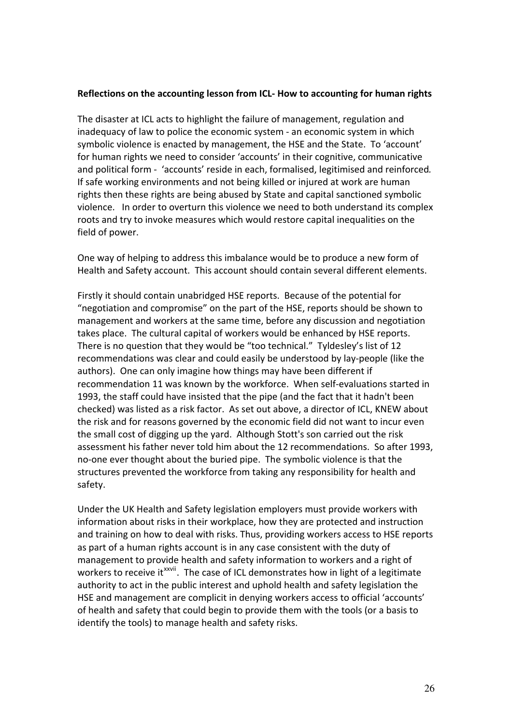# **Reflections on the accounting lesson from ICLど How to accounting for human rights**

The disaster at ICL acts to highlight the failure of management, regulation and inadequacy of law to police the economic system - an economic system in which symbolic violence is enacted by management, the HSE and the State. To 'account' for human rights we need to consider 'accounts' in their cognitive, communicative and political form - 'accounts' reside in each, formalised, legitimised and reinforced. If safe working environments and not being killed or injured at work are human rights then these rights are being abused by State and capital sanctioned symbolic violence. In order to overturn this violence we need to both understand its complex roots and try to invoke measures which would restore capital inequalities on the field of power.

One way of helping to address this imbalance would be to produce a new form of Health and Safety account. This account should contain several different elements.

Firstly it should contain unabridged HSE reports. Because of the potential for "negotiation and compromise" on the part of the HSE, reports should be shown to management and workers at the same time, before any discussion and negotiation takes place. The cultural capital of workers would be enhanced by HSE reports. There is no question that they would be "too technical." Tyldesley's list of 12 recommendations was clear and could easily be understood by lay-people (like the authors). One can only imagine how things may have been different if recommendation 11 was known by the workforce. When self-evaluations started in 1993, the staff could have insisted that the pipe (and the fact that it hadn't been checked) was listed as a risk factor. As set out above, a director of ICL, KNEW about the risk and for reasons governed by the economic field did not want to incur even the small cost of digging up the yard. Although Stott's son carried out the risk assessment his father never told him about the 12 recommendations. So after 1993, no-one ever thought about the buried pipe. The symbolic violence is that the structures prevented the workforce from taking any responsibility for health and safety.

Under the UK Health and Safety legislation employers must provide workers with information about risks in their workplace, how they are protected and instruction and training on how to deal with risks. Thus, providing workers access to HSE reports as part of a human rights account is in any case consistent with the duty of management to provide health and safety information to workers and a right of workers to receive it<sup>[xxvii](#page-33-0)</sup>. The case of ICL demonstrates how in light of a legitimate authority to act in the public interest and uphold health and safety legislation the HSE and management are complicit in denying workers access to official 'accounts' of health and safety that could begin to provide them with the tools (or a basis to identify the tools) to manage health and safety risks.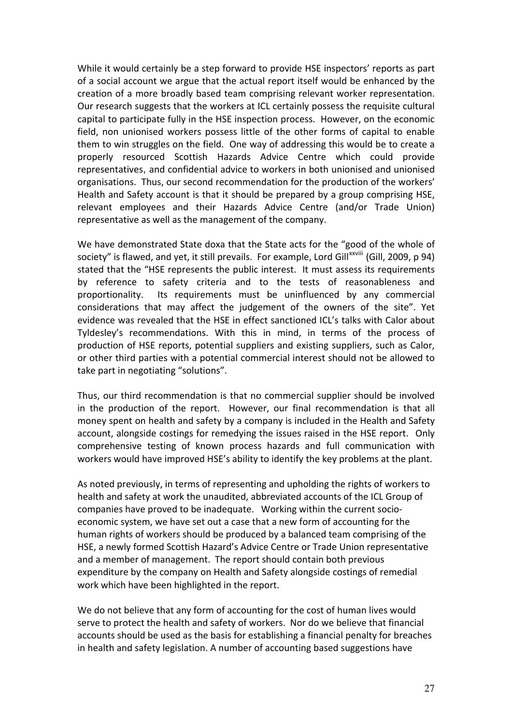While it would certainly be a step forward to provide HSE inspectors' reports as part of a social account we argue that the actual report itself would be enhanced by the creation of a more broadly based team comprising relevant worker representation. Our research suggests that the workers at ICL certainly possess the requisite cultural capital to participate fully in the HSE inspection process. However, on the economic field, non unionised workers possess little of the other forms of capital to enable them to win struggles on the field. One way of addressing this would be to create a properly resourced Scottish Hazards Advice Centre which could provide representatives, and confidential advice to workers in both unionised and unionised organisations. Thus, our second recommendation for the production of the workers' Health and Safety account is that it should be prepared by a group comprising HSE, relevant employees and their Hazards Advice Centre (and/or Trade Union) representative as well as the management of the company.

We have demonstrated State doxa that the State acts for the "good of the whole of society" is flawed, and yet, it still prevails. For example, Lord Gill<sup>[xxviii](#page-33-0)</sup> (Gill, 2009, p 94) stated that the "HSE represents the public interest. It must assess its requirements by reference to safety criteria and to the tests of reasonableness and proportionality. Its requirements must be uninfluenced by any commercial considerations that may affect the judgement of the owners of the site". Yet evidence was revealed that the HSE in effect sanctioned ICL's talks with Calor about Tyldesley's recommendations. With this in mind, in terms of the process of production of HSE reports, potential suppliers and existing suppliers, such as Calor, or other third parties with a potential commercial interest should not be allowed to take part in negotiating "solutions".

Thus, our third recommendation is that no commercial supplier should be involved in the production of the report. However, our final recommendation is that all money spent on health and safety by a company is included in the Health and Safety account, alongside costings for remedying the issues raised in the HSE report. Only comprehensive testing of known process hazards and full communication with workers would have improved HSE's ability to identify the key problems at the plant.

As noted previously, in terms of representing and upholding the rights of workers to health and safety at work the unaudited, abbreviated accounts of the ICL Group of companies have proved to be inadequate. Working within the current socioeconomic system, we have set out a case that a new form of accounting for the human rights of workers should be produced by a balanced team comprising of the HSE, a newly formed Scottish Hazardís Advice Centre or Trade Union representative and a member of management. The report should contain both previous expenditure by the company on Health and Safety alongside costings of remedial work which have been highlighted in the report.

We do not believe that any form of accounting for the cost of human lives would serve to protect the health and safety of workers. Nor do we believe that financial accounts should be used as the basis for establishing a financial penalty for breaches in health and safety legislation. A number of accounting based suggestions have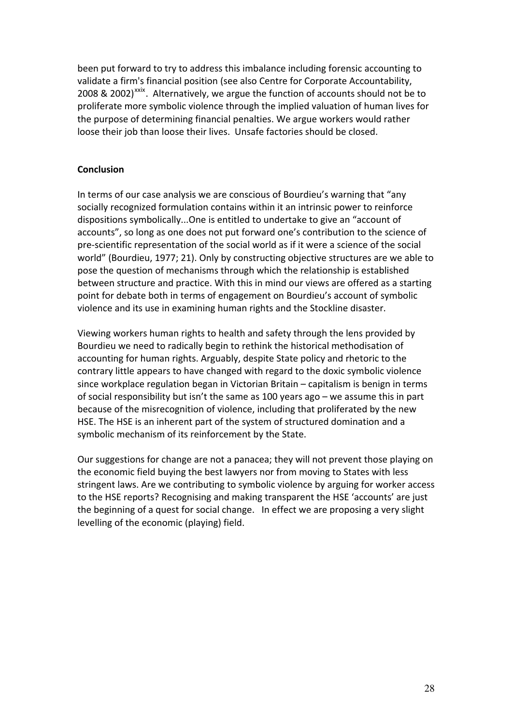been put forward to try to address this imbalance including forensic accounting to validate a firm's financial position (see also Centre for Corporate Accountability, 2008 & 2002)<sup> $xix$ </sup>. Alternatively, we argue the function of accounts should not be to proliferate more symbolic violence through the implied valuation of human lives for the purpose of determining financial penalties. We argue workers would rather loose their job than loose their lives. Unsafe factories should be closed.

#### **Conclusion**

In terms of our case analysis we are conscious of Bourdieu's warning that "any socially recognized formulation contains within it an intrinsic power to reinforce dispositions symbolically...One is entitled to undertake to give an "account of accounts", so long as one does not put forward one's contribution to the science of pre-scientific representation of the social world as if it were a science of the social world" (Bourdieu, 1977; 21). Only by constructing objective structures are we able to pose the question of mechanisms through which the relationship is established between structure and practice. With this in mind our views are offered as a starting point for debate both in terms of engagement on Bourdieu's account of symbolic violence and its use in examining human rights and the Stockline disaster.

Viewing workers human rights to health and safety through the lens provided by Bourdieu we need to radically begin to rethink the historical methodisation of accounting for human rights. Arguably, despite State policy and rhetoric to the contrary little appears to have changed with regard to the doxic symbolic violence since workplace regulation began in Victorian Britain  $-$  capitalism is benign in terms of social responsibility but isn't the same as 100 years ago  $-$  we assume this in part because of the misrecognition of violence, including that proliferated by the new HSE. The HSE is an inherent part of the system of structured domination and a symbolic mechanism of its reinforcement by the State.

Our suggestions for change are not a panacea; they will not prevent those playing on the economic field buying the best lawyers nor from moving to States with less stringent laws. Are we contributing to symbolic violence by arguing for worker access to the HSE reports? Recognising and making transparent the HSE 'accounts' are just the beginning of a quest for social change. In effect we are proposing a very slight levelling of the economic (playing) field.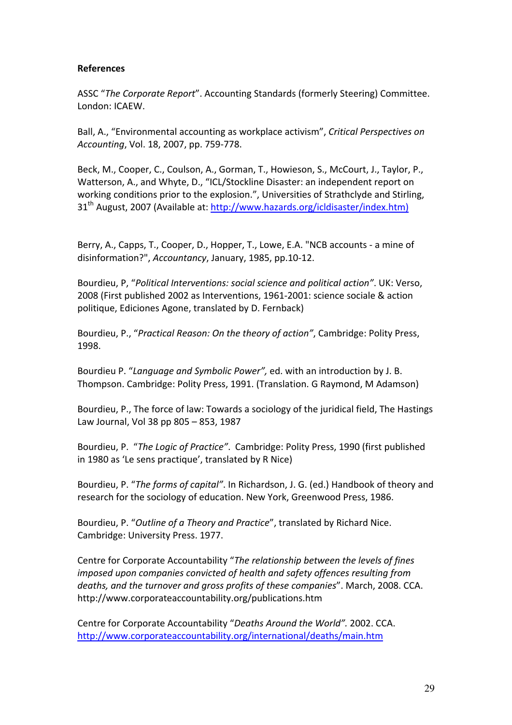# **References**

ASSC ì*The Corporate Report*î. Accounting Standards (formerly Steering) Committee. London: ICAEW.

Ball, A., "Environmental accounting as workplace activism", *Critical Perspectives on Accounting*, Vol. 18, 2007, pp. 759-778.

Beck, M., Cooper, C., Coulson, A., Gorman, T., Howieson, S., McCourt, J., Taylor, P., Watterson, A., and Whyte, D., "ICL/Stockline Disaster: an independent report on working conditions prior to the explosion.", Universities of Strathclyde and Stirling, 31<sup>th</sup> August, 2007 (Available at: [http://www.hazards.org/icldisaster/index.htm\)](http://www.hazards.org/icldisaster/index.htm)

Berry, A., Capps, T., Cooper, D., Hopper, T., Lowe, E.A. "NCB accounts - a mine of disinformation?", *Accountancy*, January, 1985, pp.10-12.

Bourdieu, P, ì*Political Interventions: social science and political actionî*. UK: Verso, 2008 (First published 2002 as Interventions, 1961-2001: science sociale & action politique, Ediciones Agone, translated by D. Fernback)

Bourdieu, P., ì*Practical Reason: On the theory of actionî*, Cambridge: Polity Press, 1998.

Bourdieu P. "Language and Symbolic Power", ed. with an introduction by J. B. Thompson. Cambridge: Polity Press, 1991. (Translation. G Raymond, M Adamson)

Bourdieu, P., The force of law: Towards a sociology of the juridical field, The Hastings Law Journal, Vol 38 pp 805 - 853, 1987

Bourdieu, P. ì*The Logic of Practiceî*. Cambridge: Polity Press, 1990 (first published in 1980 as 'Le sens practique', translated by R Nice)

Bourdieu, P. ì*The forms of capitalî*. In Richardson, J. G. (ed.) Handbook of theory and research for the sociology of education. New York, Greenwood Press, 1986.

Bourdieu, P. "Outline of a Theory and Practice", translated by Richard Nice. Cambridge: University Press. 1977.

Centre for Corporate Accountability ì*The relationship between the levels of fines imposed upon companies convicted of health and safety offences resulting from deaths, and the turnover and gross profits of these companies*î. March, 2008. CCA. http://www.corporateaccountability.org/publications.htm

Centre for Corporate Accountability "Deaths Around the World". 2002. CCA. <http://www.corporateaccountability.org/international/deaths/main.htm>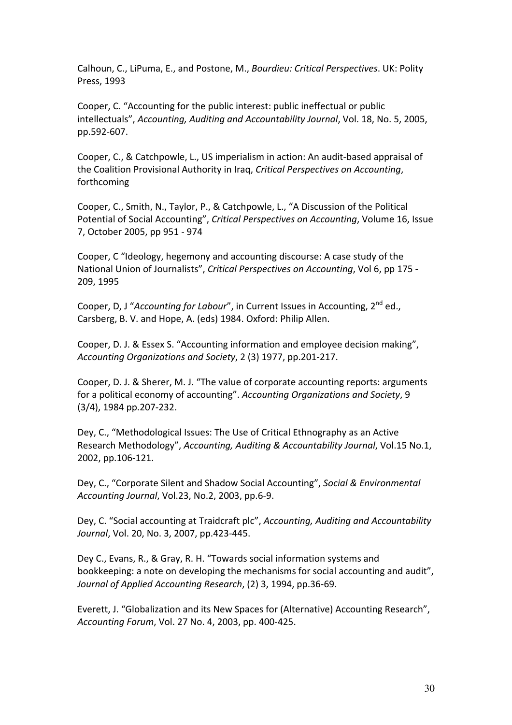Calhoun, C., LiPuma, E., and Postone, M., *Bourdieu: Critical Perspectives*. UK: Polity Press, 1993

Cooper, C. "Accounting for the public interest: public ineffectual or public intellectualsî, *Accounting, Auditing and Accountability Journal*, Vol. 18, No. 5, 2005, pp.592-607.

Cooper, C., & Catchpowle, L., US imperialism in action: An audit-based appraisal of the Coalition Provisional Authority in Iraq, *Critical Perspectives on Accounting*, forthcoming

Cooper, C., Smith, N., Taylor, P., & Catchpowle, L., "A Discussion of the Political Potential of Social Accountingî, *Critical Perspectives on Accounting*, Volume 16, Issue 7, October 2005, pp 951 - 974

Cooper, C "Ideology, hegemony and accounting discourse: A case study of the National Union of Journalists", *Critical Perspectives on Accounting*, Vol 6, pp 175 -209, 1995

Cooper, D, J "Accounting for Labour", in Current Issues in Accounting, 2<sup>nd</sup> ed., Carsberg, B. V. and Hope, A. (eds) 1984. Oxford: Philip Allen.

Cooper, D. J. & Essex S. "Accounting information and employee decision making". *Accounting Organizations and Society, 2 (3) 1977, pp.201-217.* 

Cooper, D. J. & Sherer, M. J. "The value of corporate accounting reports: arguments for a political economy of accountingî. *Accounting Organizations and Society*, 9  $(3/4)$ , 1984 pp.207-232.

Dey, C., "Methodological Issues: The Use of Critical Ethnography as an Active Research Methodologyî, *Accounting, Auditing & Accountability Journal*, Vol.15 No.1, 2002, pp.106-121.

Dey, C., "Corporate Silent and Shadow Social Accounting", *Social & Environmental Accounting Journal, Vol.23, No.2, 2003, pp.6-9.* 

Dey, C. "Social accounting at Traidcraft plc", *Accounting, Auditing and Accountability Journal*, Vol. 20, No. 3, 2007, pp.423-445.

Dey C., Evans, R., & Gray, R. H. "Towards social information systems and bookkeeping: a note on developing the mechanisms for social accounting and audit", *Journal of Applied Accounting Research,* (2) 3, 1994, pp.36-69.

Everett, J. "Globalization and its New Spaces for (Alternative) Accounting Research", *Accounting Forum*, Vol. 27 No. 4, 2003, pp. 400ど425.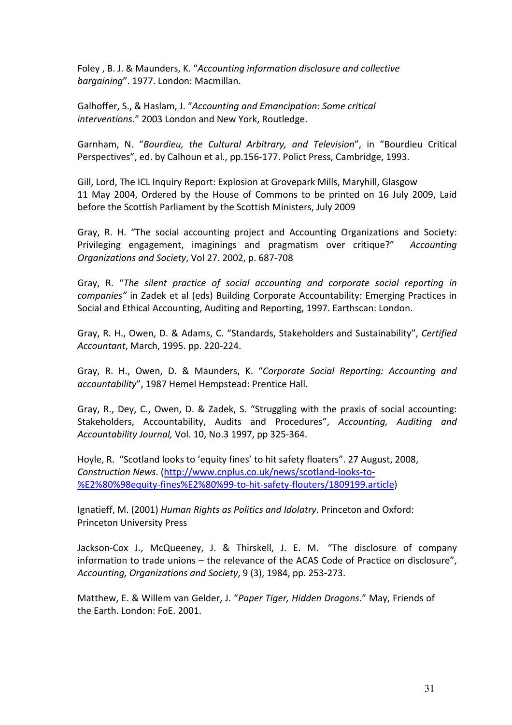Foley , B. J. & Maunders, K. ì*Accounting information disclosure and collective bargaining*î. 1977. London: Macmillan.

Galhoffer, S., & Haslam, J. ì*Accounting and Emancipation: Some critical interventions*.î 2003 London and New York, Routledge.

Garnham, N. "Bourdieu, the Cultural Arbitrary, and Television", in "Bourdieu Critical Perspectives", ed. by Calhoun et al., pp.156-177. Polict Press, Cambridge, 1993.

Gill, Lord, The ICL Inquiry Report: Explosion at Grovepark Mills, Maryhill, Glasgow 11 May 2004, Ordered by the House of Commons to be printed on 16 July 2009, Laid before the Scottish Parliament by the Scottish Ministers, July 2009

Gray, R. H. "The social accounting project and Accounting Organizations and Society: Privileging engagement, imaginings and pragmatism over critique?" Accounting *Organizations and Society, Vol 27. 2002, p. 687-708* 

Gray, R. ì*The silent practice of social accounting and corporate social reporting in companiesî* in Zadek et al (eds) Building Corporate Accountability: Emerging Practices in Social and Ethical Accounting, Auditing and Reporting, 1997. Earthscan: London.

Gray, R. H., Owen, D. & Adams, C. "Standards, Stakeholders and Sustainability", Certified *Accountant*, March, 1995. pp. 220-224.

Gray, R. H., Owen, D. & Maunders, K. ì*Corporate Social Reporting: Accounting and accountability*î, 1987 Hemel Hempstead: Prentice Hall.

Gray, R., Dey, C., Owen, D. & Zadek, S. "Struggling with the praxis of social accounting: Stakeholders, Accountability, Audits and Proceduresî, *Accounting, Auditing and Accountability Journal, Vol. 10, No.3 1997, pp 325-364.* 

Hoyle, R. "Scotland looks to 'equity fines' to hit safety floaters". 27 August, 2008, **Construction News.** [\(http://www.cnplus.co.uk/news/scotland](http://www.cnplus.co.uk/news/scotland-looks-to-%E2%80%98equity-fines%E2%80%99-to-hit-safety-flouters/1809199.article)-looks-to%E2%80%98equity-fines%E2%80%99-to-hit-safety-[flouters/1809199.article](http://www.cnplus.co.uk/news/scotland-looks-to-%E2%80%98equity-fines%E2%80%99-to-hit-safety-flouters/1809199.article))

Ignatieff, M. (2001) *Human Rights as Politics and Idolatry*. Princeton and Oxford: Princeton University Press

Jackson-Cox J., McQueeney, J. & Thirskell, J. E. M. The disclosure of company information to trade unions – the relevance of the ACAS Code of Practice on disclosure", Accounting, Organizations and Society, 9 (3), 1984, pp. 253-273.

Matthew, E. & Willem van Gelder, J. ì*Paper Tiger, Hidden Dragons*.î May, Friends of the Earth. London: FoE. 2001.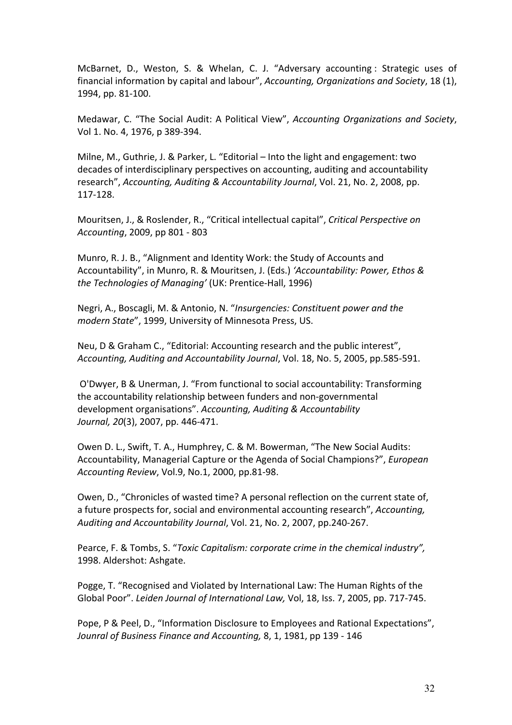McBarnet, D., Weston, S. & Whelan, C. J. "Adversary accounting : Strategic uses of financial information by capital and labour", *Accounting, Organizations and Society*, 18(1), 1994, pp. 81-100.

Medawar, C. "The Social Audit: A Political View", *Accounting Organizations and Society*, Vol 1. No. 4, 1976, p 389-394.

Milne, M., Guthrie, J. & Parker, L. "Editorial – Into the light and engagement: two decades of interdisciplinary perspectives on accounting, auditing and accountability research", *Accounting*, *Auditing* & *Accountability Journal*, Vol. 21, No. 2, 2008, pp. 117-128.

Mouritsen, J., & Roslender, R., "Critical intellectual capital", Critical Perspective on *Accounting*, 2009, pp 801 - 803

Munro, R. J. B., "Alignment and Identity Work: the Study of Accounts and Accountabilityî, in Munro, R. & Mouritsen, J. (Eds.) *ëAccountability: Power, Ethos & the Technologies of Managing'* (UK: Prentice-Hall, 1996)

Negri, A., Boscagli, M. & Antonio, N. ì*Insurgencies: Constituent power and the modern State*î, 1999, University of Minnesota Press, US.

Neu, D & Graham C., "Editorial: Accounting research and the public interest", *Accounting, Auditing and Accountability Journal, Vol. 18, No. 5, 2005, pp.585-591.* 

O'Dwyer, B & Unerman, J. "From functional to social accountability: Transforming the accountability relationship between funders and non-governmental development organisationsî. *Accounting, Auditing & Accountability Journal, 20*(3), 2007, pp. 446-471.

Owen D. L., Swift, T. A., Humphrey, C. & M. Bowerman, "The New Social Audits: Accountability, Managerial Capture or the Agenda of Social Champions?î, *European Accounting Review, Vol.9, No.1, 2000, pp.81-98.* 

Owen, D., "Chronicles of wasted time? A personal reflection on the current state of, a future prospects for, social and environmental accounting research<sup>"</sup>, *Accounting*, *Auditing and Accountability Journal*, Vol. 21, No. 2, 2007, pp.240ど267.

Pearce, F. & Tombs, S. ì*Toxic Capitalism: corporate crime in the chemical industryî,* 1998. Aldershot: Ashgate.

Pogge, T. "Recognised and Violated by International Law: The Human Rights of the Global Poor". *Leiden Journal of International Law, Vol.* 18, Iss. 7, 2005, pp. 717-745.

Pope, P & Peel, D., "Information Disclosure to Employees and Rational Expectations", *Jounral of Business Finance and Accounting,* 8, 1, 1981, pp 139 - 146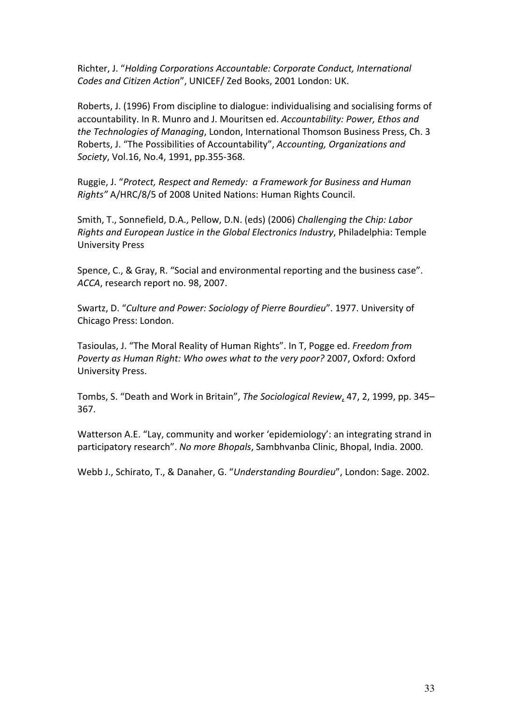<span id="page-32-1"></span>Richter, J. ì*Holding Corporations Accountable: Corporate Conduct, International Codes and Citizen Action*î, UNICEF/ Zed Books, 2001 London: UK.

Roberts, J. (1996) From discipline to dialogue: individualising and socialising forms of accountability. In R. Munro and J. Mouritsen ed. *Accountability: Power, Ethos and the Technologies of Managing*, London, International Thomson Business Press, Ch. 3 Roberts, J. "The Possibilities of Accountability", *Accounting*, *Organizations* and *Society*, Vol.16, No.4, 1991, pp.355-368.

Ruggie, J. ì*Protect, Respect and Remedy: a Framework for Business and Human Rightsî* A/HRC/8/5 of 2008 United Nations: Human Rights Council.

Smith, T., Sonnefield, D.A., Pellow, D.N. (eds) (2006) *Challenging the Chip: Labor Rights and European Justice in the Global Electronics Industry*, Philadelphia: Temple University Press

Spence, C., & Gray, R. "Social and environmental reporting and the business case". *ACCA*, research report no. 98, 2007.

Swartz, D. ì*Culture and Power: Sociology of Pierre Bourdieu*î. 1977. University of Chicago Press: London.

<span id="page-32-0"></span>Tasioulas, J. "The Moral Reality of Human Rights". In T, Pogge ed. *Freedom from Poverty as Human Right: Who owes what to the very poor?* 2007, Oxford: Oxford University Press.

Tombs, S. "Death and Work in Britain", *The Sociological Review*, 47, 2, 1999, pp. 345-367.

Watterson A.E. "Lay, community and worker 'epidemiology': an integrating strand in participatory research<sup>"</sup>. No more Bhopals, Sambhvanba Clinic, Bhopal, India. 2000.

Webb J., Schirato, T., & Danaher, G. "Understanding Bourdieu", London: Sage. 2002.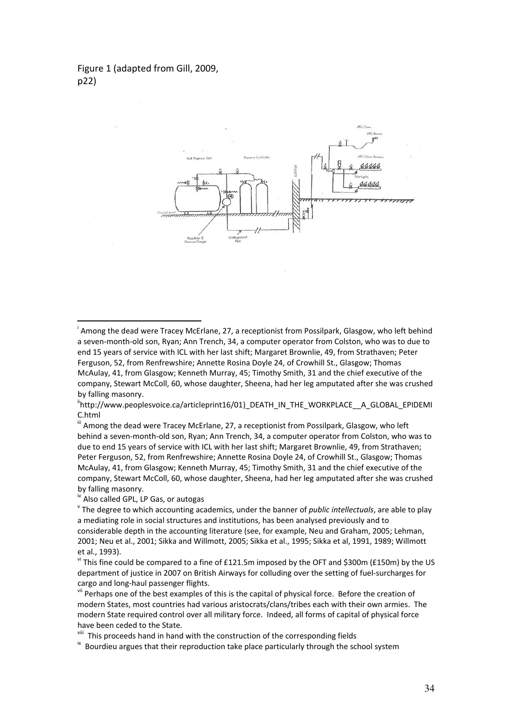<span id="page-33-0"></span>Figure 1 (adapted from Gill, 2009, p22)



<sup>i</sup> Among the dead were Tracey McErlane, 27, a receptionist from Possilpark, Glasgow, who left behind a seven-month-old son, Ryan; Ann Trench, 34, a computer operator from Colston, who was to due to end 15 years of service with ICL with her last shift; Margaret Brownlie, 49, from Strathaven; Peter Ferguson, 52, from Renfrewshire; Annette Rosina Doyle 24, of Crowhill St., Glasgow; Thomas McAulay, 41, from Glasgow; Kenneth Murray, 45; Timothy Smith, 31 and the chief executive of the company, Stewart McColl, 60, whose daughter, Sheena, had her leg amputated after she was crushed by falling masonry.

<sup>iv</sup> Also called GPL, LP Gas, or autogas

l.

v The degree to which accounting academics, under the banner of *public intellectuals*, are able to play a mediating role in social structures and institutions, has been analysed previously and to considerable depth in the accounting literature (see, for example, Neu and Graham, 2005; Lehman, 2001; Neu et al., 2001; Sikka and Willmott, 2005; Sikka et al., 1995; Sikka et al, 1991, 1989; Willmott et al., 1993).

 $\mathrm{v}$  This fine could be compared to a fine of £121.5m imposed by the OFT and \$300m (£150m) by the US department of justice in 2007 on British Airways for colluding over the setting of fuel-surcharges for cargo and long-haul passenger flights.

vii Perhaps one of the best examples of this is the capital of physical force. Before the creation of modern States, most countries had various aristocrats/clans/tribes each with their own armies. The modern State required control over all military force. Indeed, all forms of capital of physical force have been ceded to the State.

<sup>viii</sup> This proceeds hand in hand with the construction of the corresponding fields

<sup>ix</sup> Bourdieu argues that their reproduction take place particularly through the school system

<sup>&</sup>lt;sup>i</sup> Among the dead were Tracey McErlane, 27, a receptionist from Possilpark, Glasgow, who left behind a seven-month-old son, Ryan; Ann Trench, 34, a computer operator from Colston, who was to due to end 15 years of service with ICL with her last shift; Margaret Brownlie, 49, from Strathaven; Peter Ferguson, 52, from Renfrewshire; Annette Rosina Doyle 24, of Crowhill St., Glasgow; Thomas McAulay, 41, from Glasgow; Kenneth Murray, 45; Timothy Smith, 31 and the chief executive of the company, Stewart McColl, 60, whose daughter, Sheena, had her leg amputated after she was crushed by falling masonry.

ihttp://www.peoplesvoice.ca/articleprint16/01)\_DEATH\_IN\_THE\_WORKPLACE\_\_A\_GLOBAL\_EPIDEMI C.html